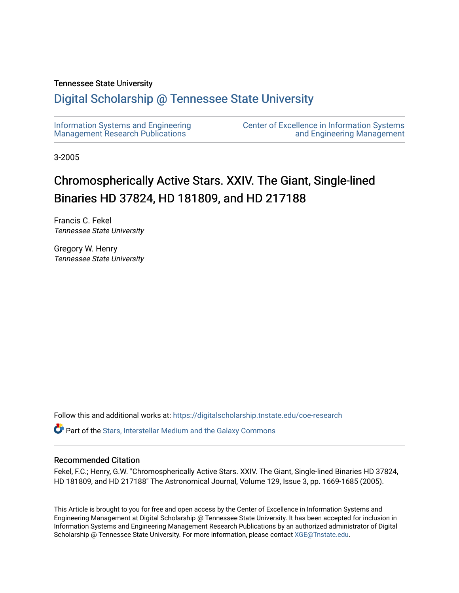## Tennessee State University

## [Digital Scholarship @ Tennessee State University](https://digitalscholarship.tnstate.edu/)

| Information Systems and Engineering | <b>Center of Excellence in Information Systems</b> |
|-------------------------------------|----------------------------------------------------|
| Management Research Publications    | and Engineering Management                         |

3-2005

# Chromospherically Active Stars. XXIV. The Giant, Single-lined Binaries HD 37824, HD 181809, and HD 217188

Francis C. Fekel Tennessee State University

Gregory W. Henry Tennessee State University

Follow this and additional works at: [https://digitalscholarship.tnstate.edu/coe-research](https://digitalscholarship.tnstate.edu/coe-research?utm_source=digitalscholarship.tnstate.edu%2Fcoe-research%2F347&utm_medium=PDF&utm_campaign=PDFCoverPages) 

**P** Part of the Stars, Interstellar Medium and the Galaxy Commons

## Recommended Citation

Fekel, F.C.; Henry, G.W. "Chromospherically Active Stars. XXIV. The Giant, Single-lined Binaries HD 37824, HD 181809, and HD 217188" The Astronomical Journal, Volume 129, Issue 3, pp. 1669-1685 (2005).

This Article is brought to you for free and open access by the Center of Excellence in Information Systems and Engineering Management at Digital Scholarship @ Tennessee State University. It has been accepted for inclusion in Information Systems and Engineering Management Research Publications by an authorized administrator of Digital Scholarship @ Tennessee State University. For more information, please contact [XGE@Tnstate.edu](mailto:XGE@Tnstate.edu).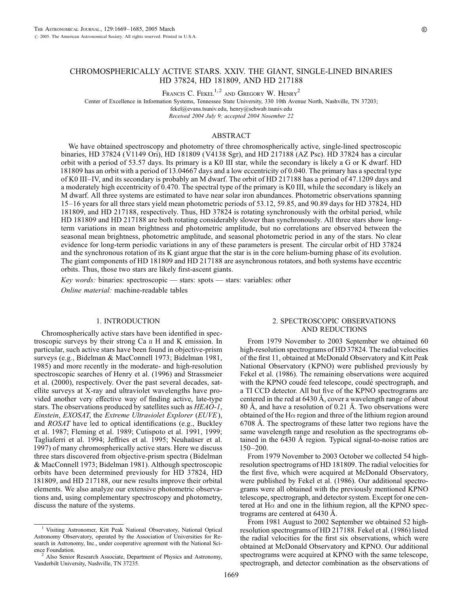FRANCIS C. FEKEL<sup>1,2</sup> AND GREGORY W. HENRY<sup>2</sup>

Center of Excellence in Information Systems, Tennessee State University, 330 10th Avenue North, Nashville, TN 37203; fekel@evans.tsuniv.edu, henry@schwab.tsuniv.edu

Received 2004 July 9; accepted 2004 November 22

#### ABSTRACT

We have obtained spectroscopy and photometry of three chromospherically active, single-lined spectroscopic binaries, HD 37824 (V1149 Ori), HD 181809 (V4138 Sgr), and HD 217188 (AZ Psc). HD 37824 has a circular orbit with a period of 53.57 days. Its primary is a K0 III star, while the secondary is likely a G or K dwarf. HD 181809 has an orbit with a period of 13.04667 days and a low eccentricity of 0.040. The primary has a spectral type of K0 III–IV, and its secondary is probably an M dwarf. The orbit of HD 217188 has a period of 47.1209 days and a moderately high eccentricity of 0.470. The spectral type of the primary is K0 III, while the secondary is likely an M dwarf. All three systems are estimated to have near solar iron abundances. Photometric observations spanning 15–16 years for all three stars yield mean photometric periods of 53.12, 59.85, and 90.89 days for HD 37824, HD 181809, and HD 217188, respectively. Thus, HD 37824 is rotating synchronously with the orbital period, while HD 181809 and HD 217188 are both rotating considerably slower than synchronously. All three stars show longterm variations in mean brightness and photometric amplitude, but no correlations are observed between the seasonal mean brightness, photometric amplitude, and seasonal photometric period in any of the stars. No clear evidence for long-term periodic variations in any of these parameters is present. The circular orbit of HD 37824 and the synchronous rotation of its K giant argue that the star is in the core helium-burning phase of its evolution. The giant components of HD 181809 and HD 217188 are asynchronous rotators, and both systems have eccentric orbits. Thus, those two stars are likely first-ascent giants.

Key words: binaries: spectroscopic — stars: spots — stars: variables: other Online material: machine-readable tables

#### 1. INTRODUCTION

Chromospherically active stars have been identified in spectroscopic surveys by their strong Ca ii H and K emission. In particular, such active stars have been found in objective-prism surveys (e.g., Bidelman & MacConnell 1973; Bidelman 1981, 1985) and more recently in the moderate- and high-resolution spectroscopic searches of Henry et al. (1996) and Strassmeier et al. (2000), respectively. Over the past several decades, satellite surveys at X-ray and ultraviolet wavelengths have provided another very effective way of finding active, late-type stars. The observations produced by satellites such as  $HEAO-1$ , Einstein, EXOSAT, the Extreme Ultraviolet Explorer (EUVE), and ROSAT have led to optical identifications (e.g., Buckley et al. 1987; Fleming et al. 1989; Cutispoto et al. 1991, 1999; Tagliaferri et al. 1994; Jeffries et al. 1995; Neuhaüser et al. 1997) of many chromospherically active stars. Here we discuss three stars discovered from objective-prism spectra (Bidelman & MacConnell 1973; Bidelman 1981). Although spectroscopic orbits have been determined previously for HD 37824, HD 181809, and HD 217188, our new results improve their orbital elements. We also analyze our extensive photometric observations and, using complementary spectroscopy and photometry, discuss the nature of the systems.

## 2. SPECTROSCOPIC OBSERVATIONS AND REDUCTIONS

From 1979 November to 2003 September we obtained 60 high-resolution spectrograms of HD 37824. The radial velocities of the first 11, obtained at McDonald Observatory and Kitt Peak National Observatory (KPNO) were published previously by Fekel et al. (1986). The remaining observations were acquired with the KPNO coudé feed telescope, coudé spectrograph, and a TI CCD detector. All but five of the KPNO spectrograms are centered in the red at  $6430 \text{ Å}$ , cover a wavelength range of about 80 Å, and have a resolution of 0.21 Å. Two observations were obtained of the H $\alpha$  region and three of the lithium region around 6708 Å. The spectrograms of these latter two regions have the same wavelength range and resolution as the spectrograms obtained in the 6430 Å region. Typical signal-to-noise ratios are 150–200.

From 1979 November to 2003 October we collected 54 highresolution spectrograms of HD 181809. The radial velocities for the first five, which were acquired at McDonald Observatory, were published by Fekel et al. (1986). Our additional spectrograms were all obtained with the previously mentioned KPNO telescope, spectrograph, and detector system. Except for one centered at  $H\alpha$  and one in the lithium region, all the KPNO spectrograms are centered at  $6430 \text{ Å}.$ 

From 1981 August to 2002 September we obtained 52 highresolution spectrograms of HD 217188. Fekel et al. (1986) listed the radial velocities for the first six observations, which were obtained at McDonald Observatory and KPNO. Our additional spectrograms were acquired at KPNO with the same telescope, spectrograph, and detector combination as the observations of

<sup>&</sup>lt;sup>1</sup> Visiting Astronomer, Kitt Peak National Observatory, National Optical Astronomy Observatory, operated by the Association of Universities for Research in Astronomy, Inc., under cooperative agreement with the National Sci-

Also Senior Research Associate, Department of Physics and Astronomy, Vanderbilt University, Nashville, TN 37235.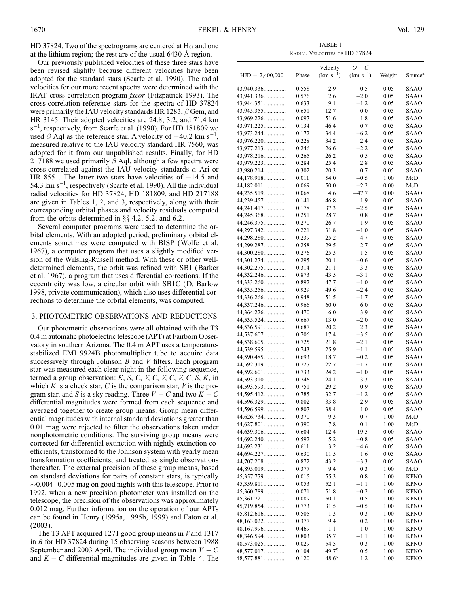HD 37824. Two of the spectrograms are centered at  $H\alpha$  and one at the lithium region; the rest are of the usual  $6430 \text{ Å}$  region.

Our previously published velocities of these three stars have been revised slightly because different velocities have been adopted for the standard stars (Scarfe et al. 1990). The radial velocities for our more recent spectra were determined with the IRAF cross-correlation program fxcor (Fitzpatrick 1993). The cross-correlation reference stars for the spectra of HD 37824 were primarily the IAU velocity standards HR 1283,  $\beta$  Gem, and HR 3145. Their adopted velocities are 24.8, 3.2, and 71.4 km  $s^{-1}$ , respectively, from Scarfe et al. (1990). For HD 181809 we used  $\beta$  Aql as the reference star. A velocity of  $-40.2$  km s<sup>-1</sup>, measured relative to the IAU velocity standard HR 7560, was adopted for it from our unpublished results. Finally, for HD 217188 we used primarily  $\beta$  Aql, although a few spectra were cross-correlated against the IAU velocity standards  $\alpha$  Ari or HR 8551. The latter two stars have velocities of  $-14.5$  and 54.3 km  $s^{-1}$ , respectively (Scarfe et al. 1990). All the individual radial velocities for HD 37824, HD 181809, and HD 217188 are given in Tables 1, 2, and 3, respectively, along with their corresponding orbital phases and velocity residuals computed from the orbits determined in  $\S$  4.2, 5.2, and 6.2.

Several computer programs were used to determine the orbital elements. With an adopted period, preliminary orbital elements sometimes were computed with BISP (Wolfe et al. 1967), a computer program that uses a slightly modified version of the Wilsing-Russell method. With these or other welldetermined elements, the orbit was refined with SB1 (Barker et al. 1967), a program that uses differential corrections. If the eccentricity was low, a circular orbit with SB1C (D. Barlow 1998, private communication), which also uses differential corrections to determine the orbital elements, was computed.

#### 3. PHOTOMETRIC OBSERVATIONS AND REDUCTIONS

Our photometric observations were all obtained with the T3 0.4 m automatic photoelectric telescope (APT) at Fairborn Observatory in southern Arizona. The 0.4 m APT uses a temperaturestabilized EMI 9924B photomultiplier tube to acquire data successively through Johnson  $B$  and  $V$  filters. Each program star was measured each clear night in the following sequence, termed a group observation:  $K$ ,  $S$ ,  $C$ ,  $V$ ,  $C$ ,  $V$ ,  $C$ ,  $V$ ,  $C$ ,  $S$ ,  $K$ , in which  $K$  is a check star,  $C$  is the comparison star,  $V$  is the program star, and S is a sky reading. Three  $V - C$  and two  $K - C$ differential magnitudes were formed from each sequence and averaged together to create group means. Group mean differential magnitudes with internal standard deviations greater than 0.01 mag were rejected to filter the observations taken under nonphotometric conditions. The surviving group means were corrected for differential extinction with nightly extinction coefficients, transformed to the Johnson system with yearly mean transformation coefficients, and treated as single observations thereafter. The external precision of these group means, based on standard deviations for pairs of constant stars, is typically  $\sim$  0.004–0.005 mag on good nights with this telescope. Prior to 1992, when a new precision photometer was installed on the telescope, the precision of the observations was approximately 0.012 mag. Further information on the operation of our APTs can be found in Henry (1995a, 1995b, 1999) and Eaton et al. (2003).

The T3 APT acquired 1271 good group means in Vand 1317 in B for HD 37824 during 15 observing seasons between 1988 September and 2003 April. The individual group mean  $V - C$ and  $K - C$  differential magnitudes are given in Table 4. The

TABLE 1 Radial Velocities of HD 37824

|                          |                | Velocity          | $O-C$                   |              |                     |
|--------------------------|----------------|-------------------|-------------------------|--------------|---------------------|
| $HJD - 2,400,000$        | Phase          | $(km s^{-1})$     | $(km s^{-1})$           | Weight       | Source <sup>a</sup> |
| 43,940.336               |                |                   | $-0.5$                  | 0.05         | SAAO                |
| 43,941.336               | 0.558<br>0.576 | 2.9<br>2.6        | $-2.0$                  | 0.05         | SAAO                |
| 43,944.351               | 0.633          | 9.1               | $-1.2$                  | 0.05         | SAAO                |
| 43,945.355               | 0.651          | 12.7              | 0.0                     | 0.05         | SAAO                |
| 43,969.226               | 0.097          | 51.6              | 1.8                     | 0.05         | SAAO                |
| 43,971.225               | 0.134          | 46.4              | 0.7                     | 0.05         | SAAO                |
| 43,973.244               | 0.172          | 34.4              | $-6.2$                  | 0.05         | SAAO                |
| 43,976.220               | 0.228          | 34.2              | 2.4                     | 0.05         | SAAO                |
| 43,977.213               | 0.246          | 26.6              | $-2.2$                  | 0.05         | SAAO                |
| 43,978.216               | 0.265          | 26.2              | 0.5                     | 0.05         | SAAO                |
| 43,979.223               | 0.284          | 25.4              | 2.8                     | 0.05         | SAAO                |
| 43,980.214<br>44,178.918 | 0.302<br>0.011 | 20.3<br>54.0      | 0.7<br>$-0.5$           | 0.05<br>1.00 | SAAO<br>McD         |
| 44,182.011               | 0.069          | 50.0              | $-2.2$                  | 0.00         | McD                 |
| 44,235.519               | 0.068          | 4.6               | $-47.7$                 | 0.00         | SAAO                |
| 44,239.457               | 0.141          | 46.8              | 1.9                     | 0.05         | SAAO                |
| 44,241.417               | 0.178          | 37.3              | $-2.5$                  | 0.05         | SAAO                |
| 44,245.368               | 0.251          | 28.7              | 0.8                     | 0.05         | SAAO                |
| 44,246.375               | 0.270          | 26.7              | 1.9                     | 0.05         | SAAO                |
| 44,297.342               | 0.221          | 31.8              | $-1.0$                  | 0.05         | SAAO                |
| 44,298.280               | 0.239          | 25.2              | $-4.7$                  | 0.05         | SAAO                |
| 44,299.287               | 0.258          | 29.5              | 2.7                     | 0.05         | SAAO                |
| 44,300.280               | 0.276          | 25.3              | 1.5                     | 0.05         | SAAO                |
| 44,301.274               | 0.295          | 20.1              | $-0.6$                  | 0.05         | SAAO                |
| 44,302.275               | 0.314          | 21.1              | 3.3                     | 0.05         | SAAO                |
| 44,332.246               | 0.873          | 43.5              | $-3.1$                  | 0.05         | SAAO                |
| 44,333.260<br>44,335.256 | 0.892<br>0.929 | 47.7<br>49.6      | $-1.0$<br>$-2.4$        | 0.05<br>0.05 | SAAO<br>SAAO        |
| 44,336.266               | 0.948          | 51.5              | $-1.7$                  | 0.05         | SAAO                |
| 44,337.246               | 0.966          | 60.0              | 6.0                     | 0.05         | SAAO                |
| 44,364.226               | 0.470          | 6.0               | 3.9                     | 0.05         | SAAO                |
| 44,535.524               | 0.667          | 13.0              | $-2.0$                  | 0.05         | SAAO                |
| 44,536.591               | 0.687          | 20.2              | 2.3                     | 0.05         | SAAO                |
| 44,537.607               | 0.706          | 17.4              | $-3.5$                  | 0.05         | SAAO                |
| 44,538.605               | 0.725          | 21.8              | $-2.1$                  | 0.05         | SAAO                |
| 44,539.595               | 0.743          | 25.9              | $-1.1$                  | 0.05         | SAAO                |
| 44,590.485               | 0.693          | 18.7              | $-0.2$                  | 0.05         | SAAO                |
| 44,592.319               | 0.727          | 22.7              | $-1.7$                  | 0.05         | SAAO                |
| 44,592.601               | 0.733          | 24.2              | $-1.0$                  | 0.05         | SAAO                |
| 44,593.310<br>44,593.593 | 0.746          | 24.1              | $-3.3$<br>0.9           | 0.05         | SAAO                |
| 44,595.412               | 0.751<br>0.785 | 29.2<br>32.7      | $-1.2$                  | 0.05<br>0.05 | SAAO<br>SAAO        |
| 44,596.329               | 0.802          | 33.8              | $^{-2.9}$               | 0.05         | SAAO                |
| 44,596.599               | 0.807          | 38.4              | 1.0                     | 0.05         | SAAO                |
| 44,626.734               | 0.370          | 9.3               | $^{ -0.7}$              | 1.00         | McD                 |
| 44,627.801               | 0.390          | 7.8               | 0.1                     | 1.00         | McD                 |
| 44,639.306               | 0.604          | $-12.4$           | $-19.5$                 | 0.00         | SAAO                |
| 44,692.240               | 0.592          | 5.2               | $-0.8$                  | 0.05         | SAAO                |
| 44,693.231               | 0.611          | 3.2               | $-4.6$                  | 0.05         | SAAO                |
| 44,694.227               | 0.630          | 11.5              | 1.6                     | 0.05         | SAAO                |
| 44,707.208               | 0.872          | 43.2              | $-3.3$                  | 0.05         | SAAO                |
| 44,895.019               | 0.377          | 9.4               | 0.3                     | 1.00         | McD                 |
| 45,357.779               | 0.015          | 55.3              | $_{0.8}$                | 1.00         | KPNO                |
| 45,359.811               | 0.053          | 52.1              | $-1.1$                  | 1.00         | KPNO                |
| 45,360.789<br>45,361.721 | 0.071<br>0.089 | 51.8<br>50.1      | $^{ -0.2}$<br>$^{-0.5}$ | 1.00<br>1.00 | KPNO<br><b>KPNO</b> |
| 45,719.854               | 0.773          | 31.5              | $-0.5$                  | 1.00         | KPNO                |
| 45,812.616               | 0.505          | 1.3               | $-0.3$                  | 1.00         | KPNO                |
| 48,163.022               | 0.377          | 9.4               | 0.2                     | 1.00         | <b>KPNO</b>         |
| 48,167.996               | 0.469          | 1.1               | $-1.0$                  | 1.00         | KPNO                |
| 48,346.594               | 0.803          | 35.7              | $-1.1$                  | 1.00         | KPNO                |
| 48,573.025               | 0.029          | 54.5              | 0.3                     | 1.00         | KPNO                |
| 48,577.017               | 0.104          | 49.7 <sup>b</sup> | 0.5                     | 1.00         | <b>KPNO</b>         |
| 48,577.881               | 0.120          | $48.6^\circ$      | 1.2                     | 1.00         | <b>KPNO</b>         |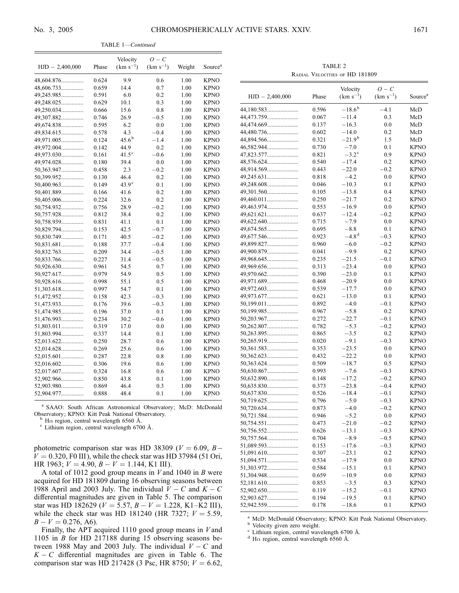TABLE 1—Continued

|                   |       | Velocity          | $O - C$       |        |                     |
|-------------------|-------|-------------------|---------------|--------|---------------------|
| $HJD - 2,400,000$ | Phase | $(km s^{-1})$     | $(km s^{-1})$ | Weight | Source <sup>a</sup> |
| 48,604.876        | 0.624 | 9.9               | 0.6           | 1.00   | <b>KPNO</b>         |
| 48,606.733        | 0.659 | 14.4              | 0.7           | 1.00   | <b>KPNO</b>         |
| 49,245.985        | 0.591 | 6.0               | 0.2           | 1.00   | <b>KPNO</b>         |
| 49,248.025        | 0.629 | 10.1              | 0.3           | 1.00   | KPNO                |
| 49,250.034        | 0.666 | 15.6              | 0.8           | 1.00   | <b>KPNO</b>         |
| 49,307.882        | 0.746 | 26.9              | $-0.5$        | 1.00   | <b>KPNO</b>         |
| 49,674.838        | 0.595 | 6.2               | 0.0           | 1.00   | <b>KPNO</b>         |
| 49,834.615        | 0.578 | 4.3               | $-0.4$        | 1.00   | <b>KPNO</b>         |
| 49,971.005        | 0.124 | $45.6^{\rm b}$    | $-1.4$        | 1.00   | <b>KPNO</b>         |
| 49,972.004        | 0.142 | 44.9              | 0.2           | 1.00   | <b>KPNO</b>         |
| 49,973.030        | 0.161 | $41.5^{\circ}$    | $-0.6$        | 1.00   | <b>KPNO</b>         |
| 49,974.028        | 0.180 | 39.4              | 0.0           | 1.00   | <b>KPNO</b>         |
| 50,363.947        | 0.458 | 2.3               | $-0.2$        | 1.00   | <b>KPNO</b>         |
| 50,399.952        | 0.130 | 46.4              | 0.2           | 1.00   | <b>KPNO</b>         |
| 50,400.963        | 0.149 | 43.9 <sup>c</sup> | 0.1           | 1.00   | <b>KPNO</b>         |
| 50,401.889        | 0.166 | 41.6              | 0.2           | 1.00   | <b>KPNO</b>         |
| 50,405.006        | 0.224 | 32.6              | 0.2           | 1.00   | <b>KPNO</b>         |
| 50,754.932        | 0.756 | 28.9              | $-0.2$        | 1.00   | <b>KPNO</b>         |
| 50,757.928        | 0.812 | 38.4              | 0.2           | 1.00   | <b>KPNO</b>         |
| 50,758.939        | 0.831 | 41.1              | 0.1           | 1.00   | <b>KPNO</b>         |
| 50,829.794        | 0.153 | 42.5              | $-0.7$        | 1.00   | <b>KPNO</b>         |
| 50,830.749        | 0.171 | 40.5              | $-0.2$        | 1.00   | <b>KPNO</b>         |
| 50,831.681        | 0.188 | 37.7              | $-0.4$        | 1.00   | <b>KPNO</b>         |
| 50,832.763        | 0.209 | 34.4              | $-0.5$        | 1.00   | <b>KPNO</b>         |
| 50,833.766        | 0.227 | 31.4              | $-0.5$        | 1.00   | <b>KPNO</b>         |
| 50,926.630        | 0.961 | 54.5              | 0.7           | 1.00   | KPNO                |
| 50,927.617        | 0.979 | 54.9              | 0.5           | 1.00   | <b>KPNO</b>         |
| 50,928.616        | 0.998 | 55.1              | 0.5           | 1.00   | <b>KPNO</b>         |
| 51,303.618        | 0.997 | 54.7              | 0.1           | 1.00   | <b>KPNO</b>         |
| 51,472.952        | 0.158 | 42.3              | $-0.3$        | 1.00   | <b>KPNO</b>         |
| 51,473.933        | 0.176 | 39.6              | $-0.3$        | 1.00   | <b>KPNO</b>         |
| 51,474.985        | 0.196 | 37.0              | 0.1           | 1.00   | <b>KPNO</b>         |
| 51,476.993        | 0.234 | 30.2              | $-0.6$        | 1.00   | <b>KPNO</b>         |
| 51,803.011        | 0.319 | 17.0              | 0.0           | 1.00   | <b>KPNO</b>         |
| 51,803.994        | 0.337 | 14.4              | 0.1           | 1.00   | <b>KPNO</b>         |
| 52,013.622        | 0.250 | 28.7              | 0.6           | 1.00   | <b>KPNO</b>         |
| 52,014.628        | 0.269 | 25.6              | 0.6           | 1.00   | <b>KPNO</b>         |
| 52,015.601        | 0.287 | 22.8              | $_{0.8}$      | 1.00   | <b>KPNO</b>         |
| 52,016.602        | 0.306 | 19.6              | 0.6           | 1.00   | <b>KPNO</b>         |
| 52,017.607        | 0.324 | 16.8              | 0.6           | 1.00   | <b>KPNO</b>         |
| 52,902.966        | 0.850 | 43.8              | 0.1           | 1.00   | <b>KPNO</b>         |
| 52,903.980        | 0.869 | 46.4              | 0.3           | 1.00   | <b>KPNO</b>         |
| 52,904.977        | 0.888 | 48.4              | 0.1           | 1.00   | <b>KPNO</b>         |

<sup>a</sup> SAAO: South African Astronomical Observatory; McD: McDonald Observatory; KPNO: Kitt Peak National Observatory.<br><sup>b</sup> H $\alpha$  region, central wavelength 6560 Å.<br><sup>c</sup> Lithium region, central wavelength 6700 Å.

photometric comparison star was HD 38309 ( $V = 6.09$ , B- $V = 0.320$ , F0 III), while the check star was HD 37984 (51 Ori, HR 1963;  $V = 4.90, B - V = 1.144, K1$  III).

A total of 1012 good group means in  $V$  and 1040 in  $B$  were acquired for HD 181809 during 16 observing seasons between 1988 April and 2003 July. The individual  $V - C$  and  $K - C$ differential magnitudes are given in Table 5. The comparison star was HD 182629 ( $V = 5.57$ ,  $B - V = 1.228$ , K1–K2 III), while the check star was HD 181240 (HR 7327;  $V = 5.59$ ,  $B - V = 0.276, A6$ .

Finally, the APT acquired 1110 good group means in  $V$  and 1105 in  $B$  for HD 217188 during 15 observing seasons between 1988 May and 2003 July. The individual  $V - C$  and  $K - C$  differential magnitudes are given in Table 6. The comparison star was HD 217428 (3 Psc, HR 8750;  $V = 6.62$ ,

TABLE 2 Radial Velocities of HD 181809

|                   |       | Velocity        | $O - C$       |                     |
|-------------------|-------|-----------------|---------------|---------------------|
| $HJD - 2,400,000$ | Phase | $(km s^{-1})$   | $(km s^{-1})$ | Source <sup>a</sup> |
|                   | 0.596 | $-18.6^{\rm b}$ | $-4.1$        | McD                 |
| 44,473.759        | 0.067 | $-11.4$         | 0.3           | McD                 |
| 44,474.669        | 0.137 | $-16.3$         | 0.0           | McD                 |
| 44,480.736        | 0.602 | $-14.0$         | 0.2           | McD                 |
| 44,894.566        | 0.321 | $-21.9^{b}$     | 1.5           | McD                 |
| 46,582.944        | 0.730 | $^{ -7.0}$      | 0.1           | <b>KPNO</b>         |
| 47,823.577        | 0.821 | $-3.2^{\circ}$  | 0.9           | <b>KPNO</b>         |
| 48,576.624        | 0.540 | $-17.4$         | 0.2           | <b>KPNO</b>         |
| 48,914.569        | 0.443 | $-22.0$         | $-0.2$        | <b>KPNO</b>         |
|                   | 0.818 | $-4.2$          | 0.0           | <b>KPNO</b>         |
| 49,248.608        | 0.046 | $-10.3$         | 0.1           | <b>KPNO</b>         |
| 49,301.560        | 0.105 | $-13.8$         | 0.4           | <b>KPNO</b>         |
| 49,460.011        | 0.250 | $-21.7$         | 0.2           | <b>KPNO</b>         |
| 49,463.974        | 0.553 | $-16.9$         | 0.0           | <b>KPNO</b>         |
| 49,621.621        | 0.637 | $-12.4$         | $-0.2$        | <b>KPNO</b>         |
|                   | 0.715 | $-7.9$          | 0.0           | <b>KPNO</b>         |
| 49,674.565        | 0.695 | $-8.8$          | 0.1           | <b>KPNO</b>         |
| 49,677.546        | 0.923 | $-4.8d$         | $-0.3$        | <b>KPNO</b>         |
| 49,899.827        | 0.960 | $-6.0$          | $-0.2$        | <b>KPNO</b>         |
| 49,900.879        | 0.041 | $-9.9$          | 0.2           | <b>KPNO</b>         |
| 49,968.645        | 0.235 | $-21.5$         | $-0.1$        | <b>KPNO</b>         |
| 49,969.656        | 0.313 | $-23.4$         | 0.0           | <b>KPNO</b>         |
| 49,970.662        | 0.390 | $-23.0$         | 0.1           | <b>KPNO</b>         |
| 49,971.689        | 0.468 | $-20.9$         | 0.0           | <b>KPNO</b>         |
|                   | 0.539 | $-17.7$         | 0.0           | <b>KPNO</b>         |
| 49,973.677        | 0.621 | $-13.0$         | 0.1           | <b>KPNO</b>         |
| 50,199.011        | 0.892 | $-4.0$          | $-0.1$        | <b>KPNO</b>         |
| 50,199.985        | 0.967 | $-5.8$          | 0.2           | <b>KPNO</b>         |
| 50,203.967        | 0.272 | $-22.7$         | $-0.1$        | <b>KPNO</b>         |
|                   | 0.782 | $-5.3$          | $-0.2$        | <b>KPNO</b>         |
| 50,263.895        | 0.865 | $-3.5$          | 0.2           | <b>KPNO</b>         |
|                   | 0.020 | $-9.1$          | $-0.3$        | <b>KPNO</b>         |
|                   | 0.353 | $-23.5$         | 0.0           | <b>KPNO</b>         |
|                   | 0.432 | $-22.2$         | 0.0           | <b>KPNO</b>         |
|                   | 0.509 | $-18.7$         | 0.5           | <b>KPNO</b>         |
|                   | 0.993 | $-7.6$          | $-0.3$        | <b>KPNO</b>         |
| 50,632.890        | 0.148 | $-17.2$         | $-0.2$        | <b>KPNO</b>         |
|                   | 0.373 | $-23.8$         | $-0.4$        | <b>KPNO</b>         |
| 50,637.830        | 0.526 | $-18.4$         | $-0.1$        | <b>KPNO</b>         |
|                   | 0.796 | $-5.0$          | $-0.3$        | <b>KPNO</b>         |
| 50,720.634        | 0.873 | $-4.0$          | $-0.2$        | <b>KPNO</b>         |
|                   | 0.946 | $-5.2$          | 0.0           | <b>KPNO</b>         |
|                   | 0.473 | $-21.0$         | $^{-0.2}$     | <b>KPNO</b>         |
| 50,756.552        | 0.626 | $-13.1$         | $^{ -0.3}$    | <b>KPNO</b>         |
| 50,757.564        | 0.704 | $-8.9$          | $-0.5$        | KPNO                |
| 51,089.593        | 0.153 | $-17.6$         | $-0.3$        | <b>KPNO</b>         |
| 51,091.610        | 0.307 | $-23.1$         | 0.2           | <b>KPNO</b>         |
| 51,094.571        | 0.534 | $-17.9$         | 0.0           | <b>KPNO</b>         |
|                   | 0.584 | $-15.1$         | 0.1           | <b>KPNO</b>         |
| 51,304.948        | 0.659 | $-10.9$         | 0.0           | <b>KPNO</b>         |
|                   | 0.853 | $-3.5$          | 0.3           | <b>KPNO</b>         |
| 52,902.650        | 0.119 | $-15.2$         | $-0.1$        | <b>KPNO</b>         |
| 52,903.627        | 0.194 | $-19.5$         | 0.1           | <b>KPNO</b>         |
|                   | 0.178 | $-18.6$         | 0.1           | <b>KPNO</b>         |
|                   |       |                 |               |                     |

<sup>a</sup> McD: McDonald Observatory; KPNO: Kitt Peak National Observatory.<br><sup>b</sup> Velocity given zero weight.<br>c Lithium region, central wavelength 6700 Å.<br>d H $\alpha$  region, central wavelength 6560 Å.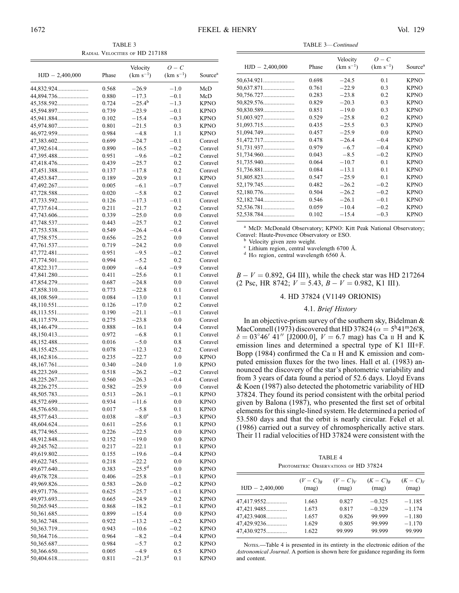TABLE 3 Radial Velocities of HD 217188

| $HJD - 2,400,000$ | Phase | Velocity<br>$(km s^{-1})$ | $O-C$<br>$(km s^{-1})$ | Source <sup>a</sup> |
|-------------------|-------|---------------------------|------------------------|---------------------|
| 44,832.924        | 0.568 | $-26.9$                   | $-1.0$                 | McD                 |
| 44,894.736        | 0.880 | $-17.3$                   | $-0.1$                 | McD                 |
| 45,358.592        | 0.724 | $-25.4^{b}$               | $-1.3$                 | <b>KPNO</b>         |
| 45,594.897        | 0.739 | $-23.9$                   | $-0.1$                 | <b>KPNO</b>         |
| 45,941.884        | 0.102 | $-15.4$                   | $-0.3$                 | <b>KPNO</b>         |
| 45,974.807        | 0.801 | $-21.5$                   | 0.3                    | <b>KPNO</b>         |
| 46,972.959        | 0.984 | $-4.8$                    | 1.1                    | <b>KPNO</b>         |
|                   | 0.699 | $-24.7$                   | $-0.1$                 | Coravel             |
| 47,392.614        | 0.890 | $-16.5$                   | $-0.2$                 | Coravel             |
| 47,395.488        | 0.951 | $-9.6$                    | $-0.2$                 | Coravel             |
|                   | 0.439 | $-25.7$                   | 0.2                    | Coravel             |
| 47,451.388        | 0.137 | $-17.8$                   | 0.2                    | Coravel             |
| 47,453.847        | 0.189 | $-20.9$                   | 0.1                    | <b>KPNO</b>         |
| 47,492.267        | 0.005 | $-6.1$                    | $-0.7$                 | Coravel             |
| 47,728.588        | 0.020 | $-5.8$                    | 0.2                    | Coravel             |
| 47,733.592        | 0.126 | $-17.3$                   | $-0.1$                 | Coravel             |
| 47,737.614        | 0.211 | $-21.7$                   | 0.2                    | Coravel             |
| 47,743.606        | 0.339 | $-25.0$                   | 0.0                    | Coravel             |
| 47,748.537        | 0.443 | $-25.7$                   | 0.2                    | Coravel             |
| 47,753.538        | 0.549 | $-26.4$                   | $-0.4$                 | Coravel             |
| 47,758.575        | 0.656 | $-25.2$                   | 0.0                    | Coravel             |
| 47,761.537        | 0.719 | $-24.2$                   | 0.0                    | Coravel             |
| 47,772.481        | 0.951 | $-9.5$                    | $-0.2$                 | Coravel             |
| 47,774.501        | 0.994 | $-5.2$                    | 0.2                    | Coravel             |
| 47,822.317        | 0.009 | $-6.4$                    | $^{+0.9}$              | Coravel             |
| 47,841.280        | 0.411 | $-25.6$                   | 0.1                    | Coravel             |
| 47,854.279        | 0.687 | $-24.8$                   | 0.0                    | Coravel             |
|                   | 0.773 | $-22.8$                   | 0.1                    | Coravel             |
| 48,108.569        | 0.084 | $-13.0$                   | 0.1                    | Coravel             |
| 48,110.551        | 0.126 | $-17.0$                   | 0.2                    | Coravel             |
| 48,113.551        | 0.190 | $-21.1$                   | $-0.1$                 | Coravel             |
| 48,117.579        | 0.275 | $-23.8$                   | 0.0                    | Coravel             |
| 48,146.479        | 0.888 | $-16.1$                   | 0.4                    | Coravel             |
|                   | 0.972 | $-6.8$                    | 0.1                    | Coravel             |
|                   | 0.016 | $-5.0$                    | 0.8                    | Coravel             |
| 48,155.425        | 0.078 | $-12.3$                   | 0.2                    | Coravel             |
|                   | 0.235 | $-22.7$                   | 0.0                    | <b>KPNO</b>         |
|                   | 0.340 | $-24.0$                   | 1.0                    | <b>KPNO</b>         |
| 48,223.269        | 0.518 | $-26.2$                   | $-0.2$                 | Coravel             |
| 48,225.267        | 0.560 | $-26.3$                   | $-0.4$                 | Coravel             |
| 48,226.275        | 0.582 | $-25.9$                   | 0.0                    | Coravel             |
| 48,505.783        | 0.513 | $-26.1$                   | $-0.1$                 | <b>KPNO</b>         |
| 48,572.699        | 0.934 | $-11.6$                   | 0.0                    | KPNO                |
| 48,576.650        | 0.017 | $-5.8$                    | 0.1                    | <b>KPNO</b>         |
| 48,577.643        | 0.038 | $-8.0^{\circ}$            | $-0.3$                 | <b>KPNO</b>         |
| 48,604.624        | 0.611 | $-25.6$                   | 0.1                    | <b>KPNO</b>         |
| 48,774.965        | 0.226 | $-22.5$                   | 0.0                    | <b>KPNO</b>         |
| 48,912.848        | 0.152 | $-19.0$                   | 0.0                    | <b>KPNO</b>         |
|                   | 0.217 | $-22.1$                   | 0.1                    | <b>KPNO</b>         |
| 49,619.802        | 0.155 | $-19.6$                   | $^{ -0.4}$             | <b>KPNO</b>         |
| 49,622.745        | 0.218 | $-22.2$                   | 0.0                    | <b>KPNO</b>         |
| 49,677.640        | 0.383 | $-25.5^{\rm d}$           | 0.0                    | <b>KPNO</b>         |
| 49,678.728        | 0.406 | $-25.8$                   | $-0.1$                 | <b>KPNO</b>         |
| 49,969.826        | 0.583 | $-26.0$                   | $-0.2$                 | <b>KPNO</b>         |
| 49,971.776        | 0.625 | $-25.7$                   | $-0.1$                 | <b>KPNO</b>         |
|                   | 0.665 | $-24.9$                   | 0.2                    | <b>KPNO</b>         |
| 50,265.945        | 0.868 | $-18.2$                   | $-0.1$                 | <b>KPNO</b>         |
|                   | 0.899 | $-15.4$                   | 0.0                    | <b>KPNO</b>         |
| 50,362.748        | 0.922 | $-13.2$                   | $-0.2$                 | <b>KPNO</b>         |
|                   | 0.943 | $-10.6$                   | $-0.2$                 | <b>KPNO</b>         |
|                   | 0.964 | $-8.2$                    | $^{ -0.4}$             | <b>KPNO</b>         |
|                   | 0.984 | $-5.7$                    | 0.2                    | KPNO                |
| 50,366.650        | 0.005 | $-4.9$                    | 0.5                    | <b>KPNO</b>         |
|                   | 0.811 | $-21.3^{d}$               | 0.1                    | <b>KPNO</b>         |

| Velocity<br>$(km s^{-1})$<br>$-24.5$ | $O-C$<br>$(km s^{-1})$ | Source <sup>a</sup> |
|--------------------------------------|------------------------|---------------------|
|                                      |                        |                     |
|                                      |                        | <b>KPNO</b>         |
| $-22.9$                              | 0.3                    | <b>KPNO</b>         |
| $-23.8$                              | 0.2                    | <b>KPNO</b>         |
| $-20.3$                              | 0.3                    | <b>KPNO</b>         |
| $-19.0$                              | 0.3                    | <b>KPNO</b>         |
| $-25.8$                              | 0.2                    | <b>KPNO</b>         |
| $-25.5$                              | 0.3                    | <b>KPNO</b>         |
| $-25.9$                              | 0.0                    | <b>KPNO</b>         |
| $-26.4$                              | $-0.4$                 | <b>KPNO</b>         |
| $-6.7$                               | $-0.4$                 | <b>KPNO</b>         |
| $-8.5$                               | $-0.2$                 | <b>KPNO</b>         |
| $-10.7$                              | 0 <sub>1</sub>         | <b>KPNO</b>         |
| $-13.1$                              | 0.1                    | <b>KPNO</b>         |
| $-25.9$                              | 0 <sub>1</sub>         | <b>KPNO</b>         |
| $-26.2$                              | $-0.2$                 | <b>KPNO</b>         |
| $-26.2$                              | $-0.2$                 | <b>KPNO</b>         |
| $-26.1$                              | $-0.1$                 | <b>KPNO</b>         |
| $-10.4$                              | $-0.2$                 | <b>KPNO</b>         |
| $-15.4$                              | $-0.3$                 | <b>KPNO</b>         |
|                                      |                        | 0.1                 |

TABLE  $3$ <sub>continued</sub>

<sup>a</sup> McD: McDonald Observatory; KPNO: Kitt Peak National Observatory; Coravel: Haute-Provence Observatory or ESO.

<sup>b</sup> Velocity given zero weight.<br>
<sup>c</sup> Lithium region, central wavelength 6700 Å.<br>
<sup>d</sup> H $\alpha$  region, central wavelength 6560 Å.

 $B - V = 0.892$ , G4 III), while the check star was HD 217264  $(2 \text{ Psc}, \text{HR } 8742; V = 5.43, B - V = 0.982, K1 \text{ III}).$ 

## 4. HD 37824 (V1149 ORIONIS)

## 4.1. Brief History

In an objective-prism survey of the southern sky, Bidelman  $\&$ MacConnell (1973) discovered that HD 37824 ( $\alpha = 5^{\text{h}}41^{\text{m}}26^{\text{s}}8$ ,  $\delta = 03^{\circ}46'$  41'' [J2000.0],  $V = 6.7$  mag) has Ca II H and K emission lines and determined a spectral type of K1 III+F. Bopp (1984) confirmed the Ca  $\scriptstyle\rm II$  H and K emission and computed emission fluxes for the two lines. Hall et al. (1983) announced the discovery of the star's photometric variability and from 3 years of data found a period of 52.6 days. Lloyd Evans & Koen (1987) also detected the photometric variability of HD 37824. They found its period consistent with the orbital period given by Balona (1987), who presented the first set of orbital elements for this single-lined system. He determined a period of 53.580 days and that the orbit is nearly circular. Fekel et al. (1986) carried out a survey of chromospherically active stars. Their 11 radial velocities of HD 37824 were consistent with the

TABLE 4 PHOTOMETRIC OBSERVATIONS OF HD 37824

| $HJD - 2,400,000$ | $(V-C)R$ | $(V-C)V$ | $(K-C)R$ | $(K-C)V$ |
|-------------------|----------|----------|----------|----------|
|                   | (mag)    | (mag)    | (mag)    | (mag)    |
| 47,417.9552       | 1.663    | 0.827    | $-0.325$ | $-1.185$ |
| 47,421.9485       | 1.673    | 0.817    | $-0.329$ | $-1.174$ |
| 47,423.9408       | 1.657    | 0.826    | 99.999   | $-1.180$ |
| 47,429.9236       | 1.629    | 0.805    | 99.999   | $-1.170$ |
| 47,430.9275       | 1.622    | 99.999   | 99.999   | 99.999   |

NOTES.—Table 4 is presented in its entirety in the electronic edition of the Astronomical Journal. A portion is shown here for guidance regarding its form and content.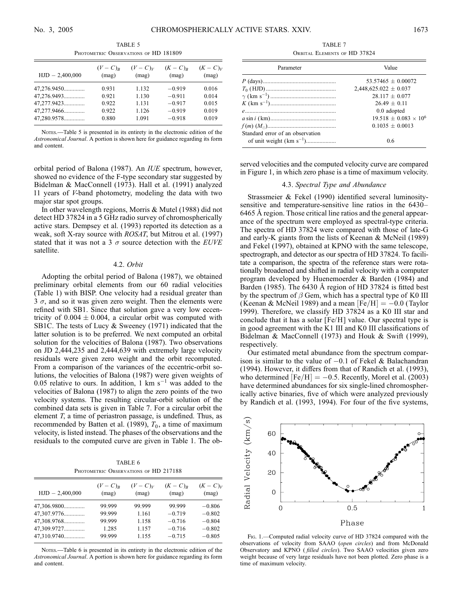TABLE 5 PHOTOMETRIC OBSERVATIONS OF HD 181809

| $HJD - 2,400,000$ | $(V-C)R$<br>(mag) | $(V-C)V$<br>(mag) | $(K-C)R$<br>(mag) | $(K-C)V$<br>(mag) |
|-------------------|-------------------|-------------------|-------------------|-------------------|
| 47,276.9450       | 0.931             | 1.132             | $-0.919$          | 0.016             |
| 47,276.9493       | 0.921             | 1.130             | $-0.911$          | 0.014             |
| 47,277.9423       | 0.922             | 1.131             | $-0.917$          | 0.015             |
| 47,277.9466       | 0.922             | 1.126             | $-0.919$          | 0.019             |
| 47,280.9578       | 0.880             | 1.091             | $-0.918$          | 0.019             |

Notes.—Table 5 is presented in its entirety in the electronic edition of the Astronomical Journal. A portion is shown here for guidance regarding its form and content.

orbital period of Balona (1987). An IUE spectrum, however, showed no evidence of the F-type secondary star suggested by Bidelman & MacConnell (1973). Hall et al. (1991) analyzed 11 years of V-band photometry, modeling the data with two major star spot groups.

In other wavelength regions, Morris & Mutel (1988) did not detect HD 37824 in a 5 GHz radio survey of chromospherically active stars. Dempsey et al. (1993) reported its detection as a weak, soft X-ray source with ROSAT, but Mitrou et al. (1997) stated that it was not a 3  $\sigma$  source detection with the *EUVE* satellite.

#### 4.2. Orbit

Adopting the orbital period of Balona (1987), we obtained preliminary orbital elements from our 60 radial velocities (Table 1) with BISP. One velocity had a residual greater than  $3\sigma$ , and so it was given zero weight. Then the elements were refined with SB1. Since that solution gave a very low eccentricity of  $0.004 \pm 0.004$ , a circular orbit was computed with SB1C. The tests of Lucy & Sweeney (1971) indicated that the latter solution is to be preferred. We next computed an orbital solution for the velocities of Balona (1987). Two observations on JD 2,444,235 and 2,444,639 with extremely large velocity residuals were given zero weight and the orbit recomputed. From a comparison of the variances of the eccentric-orbit solutions, the velocities of Balona (1987) were given weights of 0.05 relative to ours. In addition, 1 km  $s^{-1}$  was added to the velocities of Balona (1987) to align the zero points of the two velocity systems. The resulting circular-orbit solution of the combined data sets is given in Table 7. For a circular orbit the element  $T$ , a time of periastron passage, is undefined. Thus, as recommended by Batten et al. (1989),  $T_0$ , a time of maximum velocity, is listed instead. The phases of the observations and the residuals to the computed curve are given in Table 1. The ob-

TABLE 6 PHOTOMETRIC OBSERVATIONS OF HD 217188

| $HJD - 2,400,000$ | $(V-C)R$<br>(mag) | $(V-C)V$<br>(mag) | $(K-C)R$<br>(mag) | $(K-C)V$<br>(mag) |
|-------------------|-------------------|-------------------|-------------------|-------------------|
| 47,306.9800       | 99.999            | 99.999            | 99.999            | $-0.806$          |
| 47,307.9776       | 99.999            | 1.161             | $-0.719$          | $-0.802$          |
| 47,308.9768       | 99.999            | 1.158             | $-0.716$          | $-0.804$          |
| 47,309.9727       | 1.285             | 1.157             | $-0.716$          | $-0.802$          |
| 47,310.9740       | 99.999            | 1.155             | $-0.715$          | $-0.805$          |
|                   |                   |                   |                   |                   |

Notes.—Table 6 is presented in its entirety in the electronic edition of the Astronomical Journal. A portion is shown here for guidance regarding its form and content.

TABLE 7 Orbital Elements of HD 37824

| Parameter                        | Value                        |
|----------------------------------|------------------------------|
|                                  | $53.57465 + 0.00072$         |
|                                  | $2,448,625.022 \pm 0.037$    |
|                                  | $28.117 + 0.077$             |
|                                  | $26.49 + 0.11$               |
|                                  | 0.0 adopted                  |
|                                  | $19.518 + 0.083 \times 10^6$ |
|                                  | $0.1035 + 0.0013$            |
| Standard error of an observation |                              |
| of unit weight $(km s^{-1})$     | 06                           |

served velocities and the computed velocity curve are compared in Figure 1, in which zero phase is a time of maximum velocity.

## 4.3. Spectral Type and Abundance

Strassmeier & Fekel (1990) identified several luminositysensitive and temperature-sensitive line ratios in the 6430– 6465 8 region. Those critical line ratios and the general appearance of the spectrum were employed as spectral-type criteria. The spectra of HD 37824 were compared with those of late-G and early-K giants from the lists of Keenan & McNeil (1989) and Fekel (1997), obtained at KPNO with the same telescope, spectrograph, and detector as our spectra of HD 37824. To facilitate a comparison, the spectra of the reference stars were rotationally broadened and shifted in radial velocity with a computer program developed by Huenemoerder & Barden (1984) and Barden (1985). The 6430 Å region of HD 37824 is fitted best by the spectrum of  $\beta$  Gem, which has a spectral type of K0 III (Keenan & McNeil 1989) and a mean  $[Fe/H] = -0.0$  (Taylor 1999). Therefore, we classify HD 37824 as a K0 III star and conclude that it has a solar [Fe/H] value. Our spectral type is in good agreement with the K1 III and K0 III classifications of Bidelman & MacConnell (1973) and Houk & Swift (1999), respectively.

Our estimated metal abundance from the spectrum comparison is similar to the value of  $-0.1$  of Fekel & Balachandran (1994). However, it differs from that of Randich et al. (1993), who determined  $[Fe/H] = -0.5$ . Recently, Morel et al. (2003) have determined abundances for six single-lined chromospherically active binaries, five of which were analyzed previously by Randich et al. (1993, 1994). For four of the five systems,



Fig. 1.—Computed radial velocity curve of HD 37824 compared with the observations of velocity from SAAO (open circles) and from McDonald Observatory and KPNO (filled circles). Two SAAO velocities given zero weight because of very large residuals have not been plotted. Zero phase is a time of maximum velocity.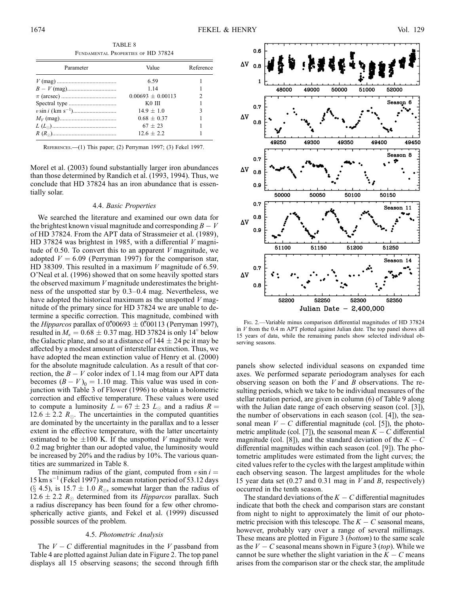TABLE 8 Fundamental Properties of HD 37824

| Parameter | Value               | Reference |
|-----------|---------------------|-----------|
|           | 6.59                |           |
|           | 1 1 4               |           |
|           | $0.00693 + 0.00113$ |           |
|           | K <sub>0</sub> III  |           |
|           | $14.9 + 1.0$        | ٩         |
|           | $0.68 + 0.37$       |           |
|           | $67 + 23$           |           |
|           | $12.6 + 2.2$        |           |

References.—(1) This paper; (2) Perryman 1997; (3) Fekel 1997.

Morel et al. (2003) found substantially larger iron abundances than those determined by Randich et al. (1993, 1994). Thus, we conclude that HD 37824 has an iron abundance that is essentially solar.

#### 4.4. Basic Properties

We searched the literature and examined our own data for the brightest known visual magnitude and corresponding  $B - V$ of HD 37824. From the APT data of Strassmeier et al. (1989), HD 37824 was brightest in 1985, with a differential  $V$  magnitude of 0.50. To convert this to an apparent  $V$  magnitude, we adopted  $V = 6.09$  (Perryman 1997) for the comparison star, HD 38309. This resulted in a maximum  $V$  magnitude of 6.59. O'Neal et al. (1996) showed that on some heavily spotted stars the observed maximum  $V$  magnitude underestimates the brightness of the unspotted star by 0.3–0.4 mag. Nevertheless, we have adopted the historical maximum as the unspotted  $V$  magnitude of the primary since for HD 37824 we are unable to determine a specific correction. This magnitude, combined with the *Hipparcos* parallax of 0.00693  $\pm$  0.00113 (Perryman 1997), resulted in  $M_v = 0.68 \pm 0.37$  mag. HD 37824 is only 14° below the Galactic plane, and so at a distance of  $144 \pm 24$  pc it may be affected by a modest amount of interstellar extinction. Thus, we have adopted the mean extinction value of Henry et al. (2000) for the absolute magnitude calculation. As a result of that correction, the  $B - V$  color index of 1.14 mag from our APT data becomes  $(B - V)$ <sub>0</sub> = 1.10 mag. This value was used in conjunction with Table 3 of Flower (1996) to obtain a bolometric correction and effective temperature. These values were used to compute a luminosity  $L = 67 \pm 23$   $L_{\odot}$  and a radius  $R =$  $12.6 \pm 2.2$   $R_{\odot}$ . The uncertainties in the computed quantities are dominated by the uncertainty in the parallax and to a lesser extent in the effective temperature, with the latter uncertainty estimated to be  $\pm 100$  K. If the unspotted V magnitude were 0.2 mag brighter than our adopted value, the luminosity would be increased by 20% and the radius by 10%. The various quantities are summarized in Table 8.

The minimum radius of the giant, computed from  $v \sin i =$  $15 \text{ km s}^{-1}$  (Fekel 1997) and a mean rotation period of 53.12 days (§ 4.5), is 15.7  $\pm$  1.0  $R_{\odot}$ , somewhat larger than the radius of  $12.6 \pm 2.2$   $R_{\odot}$  determined from its *Hipparcos* parallax. Such a radius discrepancy has been found for a few other chromospherically active giants, and Fekel et al. (1999) discussed possible sources of the problem.

#### 4.5. Photometric Analysis

The  $V - C$  differential magnitudes in the V passband from Table 4 are plotted against Julian date in Figure 2. The top panel displays all 15 observing seasons; the second through fifth



Fig. 2.—Variable minus comparison differential magnitudes of HD 37824 in  $V$  from the 0.4 m APT plotted against Julian date. The top panel shows all 15 years of data, while the remaining panels show selected individual observing seasons.

panels show selected individual seasons on expanded time axes. We performed separate periodogram analyses for each observing season on both the  $V$  and  $B$  observations. The resulting periods, which we take to be individual measures of the stellar rotation period, are given in column (6) of Table 9 along with the Julian date range of each observing season (col. [3]), the number of observations in each season (col. [4]), the seasonal mean  $V - C$  differential magnitude (col. [5]), the photometric amplitude (col. [7]), the seasonal mean  $K - C$  differential magnitude (col. [8]), and the standard deviation of the  $K - C$ differential magnitudes within each season (col. [9]). The photometric amplitudes were estimated from the light curves; the cited values refer to the cycles with the largest amplitude within each observing season. The largest amplitudes for the whole 15 year data set (0.27 and 0.31 mag in V and B, respectively) occurred in the tenth season.

The standard deviations of the  $K - C$  differential magnitudes indicate that both the check and comparison stars are constant from night to night to approximately the limit of our photometric precision with this telescope. The  $K - C$  seasonal means, however, probably vary over a range of several millimags. These means are plotted in Figure 3 (bottom) to the same scale as the  $V - C$  seasonal means shown in Figure 3 (top). While we cannot be sure whether the slight variation in the  $K - C$  means arises from the comparison star or the check star, the amplitude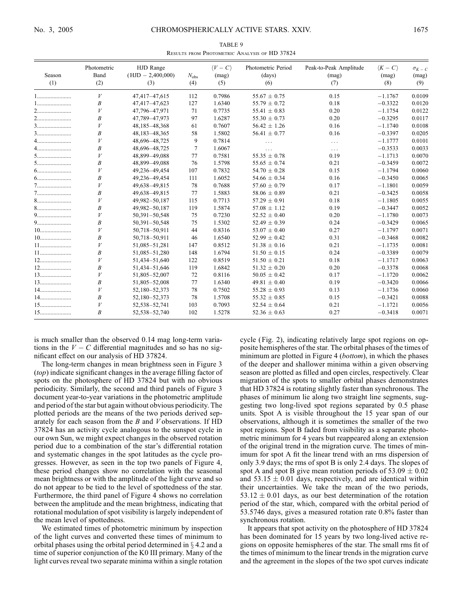TABLE 9 Results from Photometric Analysis of HD 37824

| Season<br>(1)                            | Photometric<br>Band<br>(2) | HJD Range<br>$(HJD - 2,400,000)$<br>(3) | $N_{\rm obs}$<br>(4) | $\langle V - C \rangle$<br>(mag)<br>(5) | Photometric Period<br>(days)<br>(6) | Peak-to-Peak Amplitude<br>(mag)<br>(7) | $\langle K-C\rangle$<br>(mag)<br>(8) | $\sigma_{K-C}$<br>(mag)<br>(9) |
|------------------------------------------|----------------------------|-----------------------------------------|----------------------|-----------------------------------------|-------------------------------------|----------------------------------------|--------------------------------------|--------------------------------|
| 1                                        | V                          | 47,417-47,615                           | 112                  | 0.7986                                  | $55.67 \pm 0.75$                    | 0.15                                   | $-1.1767$                            | 0.0109                         |
|                                          | B                          | 47,417-47,623                           | 127                  | 1.6340                                  | $55.79 \pm 0.72$                    | 0.18                                   | $-0.3322$                            | 0.0120                         |
|                                          | $\boldsymbol{V}$           | 47,796-47,971                           | 71                   | 0.7735                                  | 55.41 $\pm$ 0.83                    | 0.20                                   | $-1.1754$                            | 0.0122                         |
|                                          | B                          | 47,789-47,973                           | 97                   | 1.6287                                  | $55.30 \pm 0.73$                    | 0.20                                   | $-0.3295$                            | 0.0117                         |
|                                          | V                          | 48,185-48,368                           | 61                   | 0.7607                                  | $56.42 \pm 1.26$                    | 0.16                                   | $-1.1740$                            | 0.0108                         |
|                                          | B                          | 48,183-48,365                           | 58                   | 1.5802                                  | $56.41 \pm 0.77$                    | 0.16                                   | $-0.3397$                            | 0.0205                         |
|                                          | V                          | 48,696-48,725                           | 9                    | 0.7814                                  | $\ldots$                            | $\ldots$ .                             | $-1.1777$                            | 0.0101                         |
|                                          | B                          | 48,696-48,725                           | 7                    | 1.6067                                  | $\cdots$                            | $\cdots$                               | $-0.3533$                            | 0.0033                         |
|                                          | V                          | 48,899-49,088                           | 77                   | 0.7581                                  | $55.35 \pm 0.78$                    | 0.19                                   | $-1.1713$                            | 0.0070                         |
|                                          | B                          | 48,899-49,088                           | 76                   | 1.5798                                  | $55.65 \pm 0.74$                    | 0.21                                   | $-0.3459$                            | 0.0072                         |
|                                          | V                          | 49,236-49,454                           | 107                  | 0.7832                                  | $54.70 \pm 0.28$                    | 0.15                                   | $-1.1794$                            | 0.0060                         |
|                                          | B                          | 49,236-49,454                           | 111                  | 1.6052                                  | $54.66 \pm 0.34$                    | 0.16                                   | $-0.3450$                            | 0.0065                         |
|                                          | V                          | 49,638-49,815                           | 78                   | 0.7688                                  | $57.60 \pm 0.79$                    | 0.17                                   | $-1.1801$                            | 0.0059                         |
| $7\dots\dots\dots\dots\dots\dots\dots$   | B                          | 49,638-49,815                           | 77                   | 1.5883                                  | $58.06 \pm 0.89$                    | 0.21                                   | $-0.3425$                            | 0.0058                         |
|                                          | V                          | 49,982-50,187                           | 115                  | 0.7713                                  | $57.29 \pm 0.91$                    | 0.18                                   | $-1.1805$                            | 0.0055                         |
| $8$                                      | B                          | 49,982-50,187                           | 119                  | 1.5874                                  | $57.08 \pm 1.12$                    | 0.19                                   | $-0.3447$                            | 0.0052                         |
| 9                                        | V                          | $50,391 - 50,548$                       | 75                   | 0.7230                                  | $52.52 \pm 0.40$                    | 0.20                                   | $-1.1780$                            | 0.0073                         |
|                                          | B                          | $50,391 - 50,548$                       | 75                   | 1.5302                                  | $52.49 \pm 0.39$                    | 0.24                                   | $-0.3429$                            | 0.0065                         |
|                                          | V                          | 50,718-50,911                           | 44                   | 0.8316                                  | $53.07 \pm 0.40$                    | 0.27                                   | $-1.1797$                            | 0.0071                         |
| $10$                                     | B                          | 50,718-50,911                           | 46                   | 1.6540                                  | 52.99 $\pm$ 0.42                    | 0.31                                   | $-0.3468$                            | 0.0082                         |
|                                          | V                          | 51,085-51,281                           | 147                  | 0.8512                                  | $51.38 \pm 0.16$                    | 0.21                                   | $-1.1735$                            | 0.0081                         |
| $11 \dots \dots \dots \dots \dots \dots$ | B                          | 51,085-51,280                           | 148                  | 1.6794                                  | $51.50 \pm 0.15$                    | 0.24                                   | $-0.3389$                            | 0.0079                         |
|                                          | V                          | 51,434-51,640                           | 122                  | 0.8519                                  | $51.50 \pm 0.21$                    | 0.18                                   | $-1.1717$                            | 0.0063                         |
|                                          | B                          | 51,434-51,646                           | 119                  | 1.6842                                  | $51.32 \pm 0.20$                    | 0.20                                   | $-0.3378$                            | 0.0068                         |
|                                          | V                          | 51,805-52,007                           | 72                   | 0.8116                                  | $50.05 \pm 0.42$                    | 0.17                                   | $-1.1720$                            | 0.0062                         |
|                                          | B                          | 51,805-52,008                           | 77                   | 1.6340                                  | $49.81 \pm 0.40$                    | 0.19                                   | $-0.3420$                            | 0.0066                         |
|                                          | V                          | 52,180-52,373                           | 78                   | 0.7502                                  | $55.28 \pm 0.93$                    | 0.13                                   | $-1.1736$                            | 0.0060                         |
|                                          | B                          | 52,180-52,373                           | 78                   | 1.5708                                  | $55.32 \pm 0.85$                    | 0.15                                   | $-0.3421$                            | 0.0088                         |
|                                          | V                          | 52,538-52,741                           | 103                  | 0.7093                                  | $52.54 \pm 0.64$                    | 0.21                                   | $-1.1721$                            | 0.0056                         |
| $15$                                     | B                          | 52,538-52,740                           | 102                  | 1.5278                                  | 52.36 $\pm$ 0.63                    | 0.27                                   | $-0.3418$                            | 0.0071                         |

is much smaller than the observed 0.14 mag long-term variations in the  $V - C$  differential magnitudes and so has no significant effect on our analysis of HD 37824.

The long-term changes in mean brightness seen in Figure 3 (top) indicate significant changes in the average filling factor of spots on the photosphere of HD 37824 but with no obvious periodicity. Similarly, the second and third panels of Figure 3 document year-to-year variations in the photometric amplitude and period of the star but again without obvious periodicity. The plotted periods are the means of the two periods derived separately for each season from the  $B$  and  $V$  observations. If HD 37824 has an activity cycle analogous to the sunspot cycle in our own Sun, we might expect changes in the observed rotation period due to a combination of the star's differential rotation and systematic changes in the spot latitudes as the cycle progresses. However, as seen in the top two panels of Figure 4, these period changes show no correlation with the seasonal mean brightness or with the amplitude of the light curve and so do not appear to be tied to the level of spottedness of the star. Furthermore, the third panel of Figure 4 shows no correlation between the amplitude and the mean brightness, indicating that rotational modulation of spot visibility is largely independent of the mean level of spottedness.

We estimated times of photometric minimum by inspection of the light curves and converted these times of minimum to orbital phases using the orbital period determined in  $\S 4.2$  and a time of superior conjunction of the K0 III primary. Many of the light curves reveal two separate minima within a single rotation

cycle ( Fig. 2), indicating relatively large spot regions on opposite hemispheres of the star. The orbital phases of the times of minimum are plotted in Figure 4 (*bottom*), in which the phases of the deeper and shallower minima within a given observing season are plotted as filled and open circles, respectively. Clear migration of the spots to smaller orbital phases demonstrates that HD 37824 is rotating slightly faster than synchronous. The phases of minimum lie along two straight line segments, suggesting two long-lived spot regions separated by 0.5 phase units. Spot A is visible throughout the 15 year span of our observations, although it is sometimes the smaller of the two spot regions. Spot B faded from visibility as a separate photometric minimum for 4 years but reappeared along an extension of the original trend in the migration curve. The times of minimum for spot A fit the linear trend with an rms dispersion of only 3.9 days; the rms of spot B is only 2.4 days. The slopes of spot A and spot B give mean rotation periods of  $53.09 \pm 0.02$ and  $53.15 \pm 0.01$  days, respectively, and are identical within their uncertainties. We take the mean of the two periods,  $53.12 \pm 0.01$  days, as our best determination of the rotation period of the star, which, compared with the orbital period of 53.5746 days, gives a measured rotation rate 0.8% faster than synchronous rotation.

It appears that spot activity on the photosphere of HD 37824 has been dominated for 15 years by two long-lived active regions on opposite hemispheres of the star. The small rms fit of the times of minimum to the linear trends in the migration curve and the agreement in the slopes of the two spot curves indicate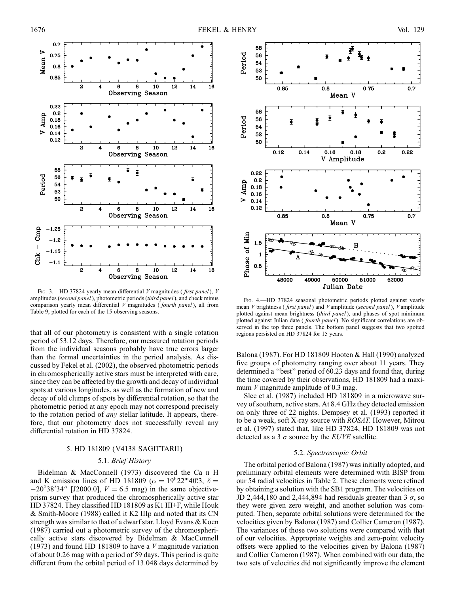

FIG. 3.—HD 37824 yearly mean differential  $V$  magnitudes (first panel),  $V$ amplitudes (second panel), photometric periods (third panel), and check minus comparison yearly mean differential  $V$  magnitudes (*fourth panel*), all from Table 9, plotted for each of the 15 observing seasons.

that all of our photometry is consistent with a single rotation period of 53.12 days. Therefore, our measured rotation periods from the individual seasons probably have true errors larger than the formal uncertainties in the period analysis. As discussed by Fekel et al. (2002), the observed photometric periods in chromospherically active stars must be interpreted with care, since they can be affected by the growth and decay of individual spots at various longitudes, as well as the formation of new and decay of old clumps of spots by differential rotation, so that the photometric period at any epoch may not correspond precisely to the rotation period of any stellar latitude. It appears, therefore, that our photometry does not successfully reveal any differential rotation in HD 37824.

#### 5. HD 181809 (V4138 SAGITTARII )

#### 5.1. Brief History

Bidelman & MacConnell (1973) discovered the Ca II H and K emission lines of HD 181809 ( $\alpha = 19^{\text{h}}22^{\text{m}}40^{\text{s}}3$ ,  $\delta =$  $-20^{\circ}38'34''$  [J2000.0],  $V = 6.5$  mag) in the same objectiveprism survey that produced the chromospherically active star HD 37824. They classified HD 181809 as K1 III+F, while Houk & Smith-Moore (1988) called it K2 IIIp and noted that its CN strength was similar to that of a dwarf star. Lloyd Evans & Koen (1987) carried out a photometric survey of the chromospherically active stars discovered by Bidelman & MacConnell (1973) and found HD 181809 to have a  $V$  magnitude variation of about 0.26 mag with a period of 59 days. This period is quite different from the orbital period of 13.048 days determined by



Fig. 4.—HD 37824 seasonal photometric periods plotted against yearly mean V brightness ( first panel) and V amplitude (second panel), V amplitude plotted against mean brightness (third panel), and phases of spot minimum plotted against Julian date ( fourth panel). No significant correlations are observed in the top three panels. The bottom panel suggests that two spotted regions persisted on HD 37824 for 15 years.

Balona (1987). For HD 181809 Hooten & Hall (1990) analyzed five groups of photometry ranging over about 11 years. They determined a ''best'' period of 60.23 days and found that, during the time covered by their observations, HD 181809 had a maximum  $V$  magnitude amplitude of 0.3 mag.

Slee et al. (1987) included HD 181809 in a microwave survey of southern, active stars. At 8.4 GHz they detected emission on only three of 22 nights. Dempsey et al. (1993) reported it to be a weak, soft X-ray source with ROSAT. However, Mitrou et al. (1997) stated that, like HD 37824, HD 181809 was not detected as a 3  $\sigma$  source by the *EUVE* satellite.

#### 5.2. Spectroscopic Orbit

The orbital period of Balona (1987) was initially adopted, and preliminary orbital elements were determined with BISP from our 54 radial velocities in Table 2. These elements were refined by obtaining a solution with the SB1 program. The velocities on JD 2,444,180 and 2,444,894 had residuals greater than 3  $\sigma$ , so they were given zero weight, and another solution was computed. Then, separate orbital solutions were determined for the velocities given by Balona (1987) and Collier Cameron (1987). The variances of those two solutions were compared with that of our velocities. Appropriate weights and zero-point velocity offsets were applied to the velocities given by Balona (1987) and Collier Cameron (1987). When combined with our data, the two sets of velocities did not significantly improve the element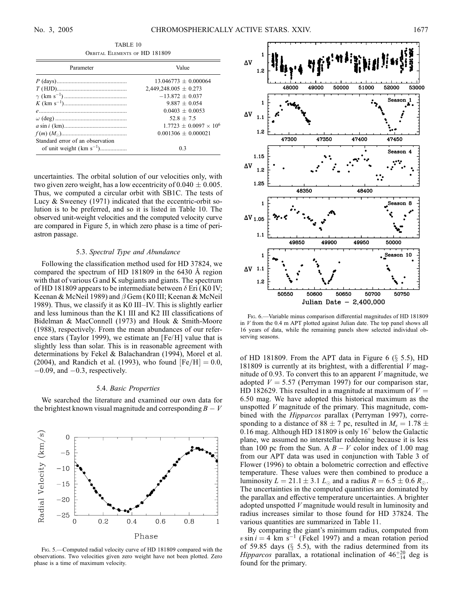TABLE 10 Orbital Elements of HD 181809

| Parameter                        | Value                           |  |  |  |
|----------------------------------|---------------------------------|--|--|--|
|                                  | $13.046773 + 0.000064$          |  |  |  |
|                                  | $2,449,248.005 \pm 0.273$       |  |  |  |
|                                  | $-13.872 + 0.037$               |  |  |  |
|                                  | $9.887 + 0.054$                 |  |  |  |
|                                  | $0.0403 + 0.0053$               |  |  |  |
|                                  | $52.8 + 7.5$                    |  |  |  |
|                                  | $1.7723 + 0.0097 \times 10^{6}$ |  |  |  |
|                                  | $0.001306 + 0.000021$           |  |  |  |
| Standard error of an observation |                                 |  |  |  |
| of unit weight $(km s^{-1})$     | 0 <sup>3</sup>                  |  |  |  |

uncertainties. The orbital solution of our velocities only, with two given zero weight, has a low eccentricity of  $0.040 \pm 0.005$ . Thus, we computed a circular orbit with SB1C. The tests of Lucy & Sweeney (1971) indicated that the eccentric-orbit solution is to be preferred, and so it is listed in Table 10. The observed unit-weight velocities and the computed velocity curve are compared in Figure 5, in which zero phase is a time of periastron passage.

#### 5.3. Spectral Type and Abundance

Following the classification method used for HD 37824, we compared the spectrum of HD  $181809$  in the 6430 Å region with that of various G and K subgiants and giants. The spectrum of HD 181809 appears to be intermediate between  $\delta$  Eri (K0 IV; Keenan & McNeil 1989) and  $\beta$  Gem (K0 III; Keenan & McNeil 1989). Thus, we classify it as K0 III–IV. This is slightly earlier and less luminous than the K1 III and K2 III classifications of Bidelman & MacConnell (1973) and Houk & Smith-Moore (1988), respectively. From the mean abundances of our reference stars (Taylor 1999), we estimate an [Fe/H] value that is slightly less than solar. This is in reasonable agreement with determinations by Fekel & Balachandran (1994), Morel et al. (2004), and Randich et al. (1993), who found  $[Fe/H] = 0.0$ ,  $-0.09$ , and  $-0.3$ , respectively.

#### 5.4. Basic Properties

We searched the literature and examined our own data for the brightest known visual magnitude and corresponding  $B - V$ 



Fig. 5.—Computed radial velocity curve of HD 181809 compared with the observations. Two velocities given zero weight have not been plotted. Zero phase is a time of maximum velocity.



Fig. 6.—Variable minus comparison differential magnitudes of HD 181809 in  $V$  from the 0.4 m APT plotted against Julian date. The top panel shows all 16 years of data, while the remaining panels show selected individual observing seasons.

of HD 181809. From the APT data in Figure 6  $(\S$  5.5), HD 181809 is currently at its brightest, with a differential  $V$  magnitude of 0.93. To convert this to an apparent  $V$  magnitude, we adopted  $V = 5.57$  (Perryman 1997) for our comparison star, HD 182629. This resulted in a magnitude at maximum of  $V =$ 6:50 mag. We have adopted this historical maximum as the unspotted  $V$  magnitude of the primary. This magnitude, combined with the *Hipparcos* parallax (Perryman 1997), corresponding to a distance of  $88 \pm 7$  pc, resulted in  $M_v = 1.78 \pm 1.78$ 0.16 mag. Although HD 181809 is only  $16^{\circ}$  below the Galactic plane, we assumed no interstellar reddening because it is less than 100 pc from the Sun. A  $B - V$  color index of 1.00 mag from our APT data was used in conjunction with Table 3 of Flower (1996) to obtain a bolometric correction and effective temperature. These values were then combined to produce a luminosity  $L = 21.1 \pm 3.1 L_{\odot}$  and a radius  $R = 6.5 \pm 0.6 R_{\odot}$ . The uncertainties in the computed quantities are dominated by the parallax and effective temperature uncertainties. A brighter adopted unspotted V magnitude would result in luminosity and radius increases similar to those found for HD 37824. The various quantities are summarized in Table 11.

By comparing the giant's minimum radius, computed from  $v \sin i = 4$  km s<sup>-1</sup> (Fekel 1997) and a mean rotation period of 59.85 days  $(\S$  5.5), with the radius determined from its Hipparcos parallax, a rotational inclination of  $46^{+20}_{-14}$  deg is found for the primary.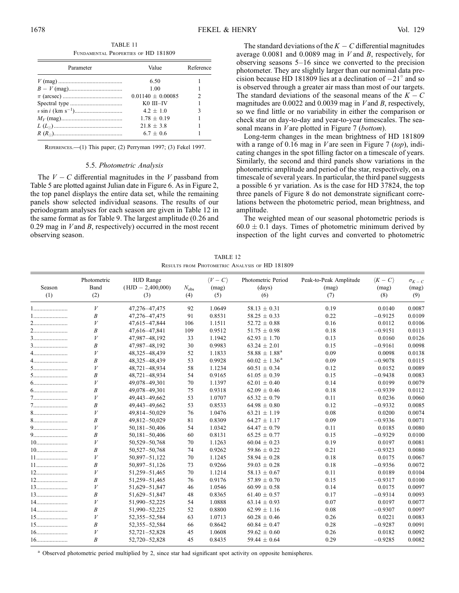TABLE 11 Fundamental Properties of HD 181809

| Parameter | Value                 | Reference |  |
|-----------|-----------------------|-----------|--|
|           | 6.50                  |           |  |
|           | 1.00                  |           |  |
|           | $0.01140 \pm 0.00085$ |           |  |
|           | $KO$ $III$ - $IV$     |           |  |
|           | $4.2 + 1.0$           |           |  |
|           | $1.78 + 0.19$         |           |  |
|           | $21.8 + 3.8$          |           |  |
|           | $6.7 + 0.6$           |           |  |

References.—(1) This paper; (2) Perryman 1997; (3) Fekel 1997.

#### 5.5. Photometric Analysis

The  $V - C$  differential magnitudes in the V passband from Table 5 are plotted against Julian date in Figure 6. As in Figure 2, the top panel displays the entire data set, while the remaining panels show selected individual seasons. The results of our periodogram analyses for each season are given in Table 12 in the same format as for Table 9. The largest amplitude (0.26 and 0.29 mag in  $V$  and  $B$ , respectively) occurred in the most recent observing season.

The standard deviations of the  $K - C$  differential magnitudes average  $0.0081$  and  $0.0089$  mag in V and B, respectively, for observing seasons 5–16 since we converted to the precision photometer. They are slightly larger than our nominal data precision because HD 181809 lies at a declination of  $-21^\circ$  and so is observed through a greater air mass than most of our targets. The standard deviations of the seasonal means of the  $K - C$ magnitudes are  $0.0022$  and  $0.0039$  mag in *V* and *B*, respectively, so we find little or no variability in either the comparison or check star on day-to-day and year-to-year timescales. The seasonal means in *V* are plotted in Figure 7 (bottom).

Long-term changes in the mean brightness of HD 181809 with a range of 0.16 mag in *V* are seen in Figure 7 (top), indicating changes in the spot filling factor on a timescale of years. Similarly, the second and third panels show variations in the photometric amplitude and period of the star, respectively, on a timescale of several years. In particular, the third panel suggests a possible 6 yr variation. As is the case for HD 37824, the top three panels of Figure 8 do not demonstrate significant correlations between the photometric period, mean brightness, and amplitude.

The weighted mean of our seasonal photometric periods is  $60.0 \pm 0.1$  days. Times of photometric minimum derived by inspection of the light curves and converted to photometric

TABLE 12 Results from Photometric Analysis of HD 181809

| Season<br>(1) | Photometric<br>Band<br>(2) | HJD Range<br>$(HJD - 2,400,000)$<br>(3) | $N_{\rm obs}$<br>(4) | $\langle V - C \rangle$<br>(mag)<br>(5) | Photometric Period<br>(days)<br>(6) | Peak-to-Peak Amplitude<br>(mag)<br>(7) | $\langle K-C\rangle$<br>(mag)<br>(8) | $\sigma_{K-C}$<br>(mag)<br>(9) |
|---------------|----------------------------|-----------------------------------------|----------------------|-----------------------------------------|-------------------------------------|----------------------------------------|--------------------------------------|--------------------------------|
| 1             | V                          | 47,276-47,475                           | 92                   | 1.0649                                  | $58.13 \pm 0.31$                    | 0.19                                   | 0.0140                               | 0.0087                         |
|               | B                          | 47,276-47,475                           | 91                   | 0.8531                                  | $58.25 \pm 0.33$                    | 0.22                                   | $-0.9125$                            | 0.0109                         |
|               | V                          | 47,615-47,844                           | 106                  | 1.1511                                  | $52.72 \pm 0.88$                    | 0.16                                   | 0.0112                               | 0.0106                         |
|               | B                          | 47,616-47,841                           | 109                  | 0.9512                                  | $51.75 \pm 0.98$                    | 0.18                                   | $-0.9151$                            | 0.0113                         |
|               | V                          | 47,987-48,192                           | 33                   | 1.1942                                  | $62.93 \pm 1.70$                    | 0.13                                   | 0.0160                               | 0.0126                         |
|               | B                          | 47,987-48,192                           | 30                   | 0.9983                                  | $63.24 \pm 2.01$                    | 0.15                                   | $-0.9161$                            | 0.0098                         |
|               | V                          | 48,325-48,439                           | 52                   | 1.1833                                  | $58.88 \pm 1.88^a$                  | 0.09                                   | 0.0098                               | 0.0138                         |
| $4$           | $\boldsymbol{B}$           | 48,325-48,439                           | 53                   | 0.9928                                  | $60.02 \pm 1.36^{\text{a}}$         | 0.09                                   | $-0.9078$                            | 0.0115                         |
|               | V                          | 48,721-48,934                           | 58                   | 1.1234                                  | $60.51 \pm 0.34$                    | 0.12                                   | 0.0152                               | 0.0089                         |
|               | $\boldsymbol{B}$           | 48,721-48,934                           | 54                   | 0.9165                                  | $61.05 \pm 0.39$                    | 0.15                                   | $-0.9438$                            | 0.0083                         |
|               | V                          | 49,078-49,301                           | 70                   | 1.1397                                  | $62.01 \pm 0.40$                    | 0.14                                   | 0.0199                               | 0.0079                         |
|               | B                          | 49,078-49,301                           | 75                   | 0.9318                                  | $62.09 \pm 0.46$                    | 0.18                                   | $-0.9339$                            | 0.0112                         |
|               | V                          | 49,443-49,662                           | 53                   | 1.0707                                  | $65.32 \pm 0.79$                    | 0.11                                   | 0.0236                               | 0.0060                         |
|               | $\boldsymbol{B}$           | 49,443-49,662                           | 53                   | 0.8533                                  | $64.98 \pm 0.80$                    | 0.12                                   | $-0.9332$                            | 0.0085                         |
|               | V                          | 49,814-50,029                           | 76                   | 1.0476                                  | $63.21 \pm 1.19$                    | 0.08                                   | 0.0200                               | 0.0074                         |
|               | $\boldsymbol{B}$           | 49,812-50,029                           | 81                   | 0.8309                                  | $64.27 \pm 1.17$                    | 0.09                                   | $-0.9336$                            | 0.0071                         |
|               | V                          | 50,181-50,406                           | 54                   | 1.0342                                  | $64.47 \pm 0.79$                    | 0.11                                   | 0.0185                               | 0.0080                         |
|               | B                          | $50,181 - 50,406$                       | 60                   | 0.8131                                  | $65.25 \pm 0.77$                    | 0.15                                   | $-0.9329$                            | 0.0100                         |
|               | V                          | 50,529-50,768                           | 70                   | 1.1263                                  | $60.04 \pm 0.23$                    | 0.19                                   | 0.0197                               | 0.0081                         |
|               | B                          | 50,527-50,768                           | 74                   | 0.9262                                  | 59.86 $\pm$ 0.22                    | 0.21                                   | $-0.9323$                            | 0.0080                         |
|               | V                          | 50,897-51,122                           | 70                   | 1.1245                                  | $58.94 \pm 0.28$                    | 0.18                                   | 0.0175                               | 0.0067                         |
|               | $\boldsymbol{B}$           | 50,897-51,126                           | 73                   | 0.9266                                  | $59.03 \pm 0.28$                    | 0.18                                   | $-0.9356$                            | 0.0072                         |
|               | V                          | 51,259-51,465                           | 70                   | 1.1214                                  | $58.13 \pm 0.67$                    | 0.11                                   | 0.0189                               | 0.0104                         |
|               | $\boldsymbol{B}$           | 51,259-51,465                           | 76                   | 0.9176                                  | $57.89 \pm 0.70$                    | 0.15                                   | $-0.9317$                            | 0.0100                         |
|               | V                          | 51,629-51,847                           | 46                   | 1.0546                                  | $60.99 \pm 0.58$                    | 0.14                                   | 0.0175                               | 0.0097                         |
| 13            | $\boldsymbol{B}$           | 51,629-51,847                           | 48                   | 0.8365                                  | $61.40 \pm 0.57$                    | 0.17                                   | $-0.9314$                            | 0.0093                         |
| 14            | V                          | 51,990-52,225                           | 54                   | 1.0888                                  | $63.14 \pm 0.93$                    | 0.07                                   | 0.0197                               | 0.0077                         |
|               | $\boldsymbol{B}$           | 51,990-52,225                           | 52                   | 0.8800                                  | $62.99 \pm 1.16$                    | 0.08                                   | $-0.9307$                            | 0.0097                         |
|               | V                          | 52,355-52,584                           | 63                   | 1.0713                                  | $60.28 \pm 0.46$                    | 0.26                                   | 0.0221                               | 0.0083                         |
|               | $\boldsymbol{B}$           | 52,355-52,584                           | 66                   | 0.8642                                  | $60.84 \pm 0.47$                    | 0.28                                   | $-0.9287$                            | 0.0091                         |
|               | V                          | $52,721 - 52,828$                       | 45                   | 1.0608                                  | $59.62 \pm 0.60$                    | 0.26                                   | 0.0182                               | 0.0092                         |
|               | B                          | 52,720-52,828                           | 45                   | 0.8435                                  | 59.44 $\pm$ 0.64                    | 0.29                                   | $-0.9285$                            | 0.0082                         |

<sup>a</sup> Observed photometric period multiplied by 2, since star had significant spot activity on opposite hemispheres.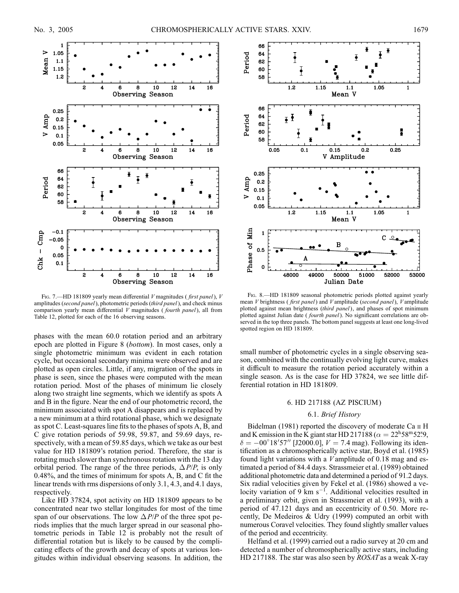

Fig. 7.—HD 181809 yearly mean differential  $V$  magnitudes (*first panel*),  $V$ amplitudes (second panel), photometric periods (third panel), and check minus comparison yearly mean differential  $V$  magnitudes (*fourth panel*), all from Table 12, plotted for each of the 16 observing seasons.

phases with the mean 60.0 rotation period and an arbitrary epoch are plotted in Figure 8 (bottom). In most cases, only a single photometric minimum was evident in each rotation cycle, but occasional secondary minima were observed and are plotted as open circles. Little, if any, migration of the spots in phase is seen, since the phases were computed with the mean rotation period. Most of the phases of minimum lie closely along two straight line segments, which we identify as spots A and B in the figure. Near the end of our photometric record, the minimum associated with spot A disappears and is replaced by a new minimum at a third rotational phase, which we designate as spot C. Least-squares line fits to the phases of spots A, B, and C give rotation periods of 59.98, 59.87, and 59.69 days, respectively, with a mean of 59.85 days, which we take as our best value for HD 181809's rotation period. Therefore, the star is rotating much slower than synchronous rotation with the 13 day orbital period. The range of the three periods,  $\Delta P/P$ , is only 0.48%, and the times of minimum for spots A, B, and C fit the linear trends with rms dispersions of only 3.1, 4.3, and 4.1 days, respectively.

Like HD 37824, spot activity on HD 181809 appears to be concentrated near two stellar longitudes for most of the time span of our observations. The low  $\Delta P/P$  of the three spot periods implies that the much larger spread in our seasonal photometric periods in Table 12 is probably not the result of differential rotation but is likely to be caused by the complicating effects of the growth and decay of spots at various longitudes within individual observing seasons. In addition, the



FIG. 8.—HD 181809 seasonal photometric periods plotted against yearly mean *V* brightness (*first panel*) and *V* amplitude (*second panel*), *V* amplitude plotted against mean brightness (third panel), and phases of spot minimum plotted against Julian date (*fourth panel*). No significant correlations are observed in the top three panels. The bottom panel suggests at least one long-lived spotted region on HD 181809.

small number of photometric cycles in a single observing season, combined with the continually evolving light curve, makes it difficult to measure the rotation period accurately within a single season. As is the case for HD 37824, we see little differential rotation in HD 181809.

#### 6. HD 217188 (AZ PISCIUM )

#### 6.1. Brief History

Bidelman (1981) reported the discovery of moderate Ca  $\scriptstyle\rm II$  H and K emission in the K giant star HD 217188 ( $\alpha = 22^{\text{h}}58^{\text{m}}52^{\text{s}}9$ ,  $\delta = -00^{\circ}18'57''$  [J2000.0],  $V = 7.4$  mag). Following its identification as a chromospherically active star, Boyd et al. (1985) found light variations with a  $V$  amplitude of 0.18 mag and estimated a period of 84.4 days. Strassmeier et al. (1989) obtained additional photometric data and determined a period of 91.2 days. Six radial velocities given by Fekel et al. (1986) showed a velocity variation of 9 km  $s^{-1}$ . Additional velocities resulted in a preliminary orbit, given in Strassmeier et al. (1993), with a period of 47.121 days and an eccentricity of 0.50. More recently, De Medeiros & Udry (1999) computed an orbit with numerous Coravel velocities. They found slightly smaller values of the period and eccentricity.

Helfand et al. (1999) carried out a radio survey at 20 cm and detected a number of chromospherically active stars, including HD 217188. The star was also seen by *ROSAT* as a weak X-ray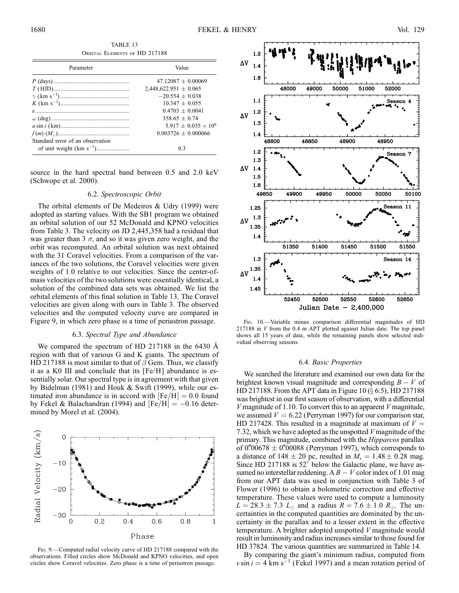TABLE 13 Orbital Elements of HD 217188

| Parameter                        | Value                       |  |  |  |
|----------------------------------|-----------------------------|--|--|--|
|                                  | $47.12087 + 0.00069$        |  |  |  |
|                                  | $2,448,622.951 \pm 0.065$   |  |  |  |
|                                  | $-20.554 + 0.038$           |  |  |  |
|                                  | $10.347 + 0.055$            |  |  |  |
|                                  | $0.4703 + 0.0041$           |  |  |  |
|                                  | $358.65 + 0.74$             |  |  |  |
|                                  | $5.917 + 0.035 \times 10^6$ |  |  |  |
|                                  | $0.003726 + 0.000066$       |  |  |  |
| Standard error of an observation |                             |  |  |  |
|                                  | 0 <sup>3</sup>              |  |  |  |

source in the hard spectral band between 0.5 and 2.0 keV (Schwope et al. 2000).

## 6.2. Spectroscopic Orbit

The orbital elements of De Medeiros & Udry (1999) were adopted as starting values. With the SB1 program we obtained an orbital solution of our 52 McDonald and KPNO velocities from Table 3. The velocity on JD 2,445,358 had a residual that was greater than 3  $\sigma$ , and so it was given zero weight, and the orbit was recomputed. An orbital solution was next obtained with the 31 Coravel velocities. From a comparison of the variances of the two solutions, the Coravel velocities were given weights of 1.0 relative to our velocities. Since the center-ofmass velocities of the two solutions were essentially identical, a solution of the combined data sets was obtained. We list the orbital elements of this final solution in Table 13. The Coravel velocities are given along with ours in Table 3. The observed velocities and the computed velocity curve are compared in Figure 9, in which zero phase is a time of periastron passage.

#### 6.3. Spectral Type and Abundance

We compared the spectrum of HD 217188 in the 6430  $\AA$ region with that of various G and K giants. The spectrum of HD 217188 is most similar to that of  $\beta$  Gem. Thus, we classify it as a K0 III and conclude that its [Fe/H] abundance is essentially solar. Our spectral type is in agreement with that given by Bidelman (1981) and Houk & Swift (1999), while our estimated iron abundance is in accord with  $[Fe/H] = 0.0$  found by Fekel & Balachandran (1994) and  $[Fe/H] = -0.16$  determined by Morel et al. (2004).



Fig. 9.—Computed radial velocity curve of HD 217188 compared with the observations. Filled circles show McDonald and KPNO velocities, and open circles show Coravel velocities. Zero phase is a time of periastron passage.



Fig. 10.—Variable minus comparison differential magnitudes of HD 217188 in V from the 0.4 m APT plotted against Julian date. The top panel shows all 15 years of data, while the remaining panels show selected individual observing seasons.

#### 6.4. Basic Properties

We searched the literature and examined our own data for the brightest known visual magnitude and corresponding  $B - V$  of HD 217188. From the APT data in Figure 10  $(\S$  6.5), HD 217188 was brightest in our first season of observation, with a differential  $V$  magnitude of 1.10. To convert this to an apparent  $V$  magnitude, we assumed  $V = 6.22$  (Perryman 1997) for our comparison star, HD 217428. This resulted in a magnitude at maximum of  $V =$ 7:32, which we have adopted as the unspotted V magnitude of the primary. This magnitude, combined with the *Hipparcos* parallax of 0.700678  $\pm$  0.700088 (Perryman 1997), which corresponds to a distance of 148  $\pm$  20 pc, resulted in  $M_v = 1.48 \pm 0.28$  mag. Since HD 217188 is  $52^{\circ}$  below the Galactic plane, we have assumed no interstellar reddening. A  $B - V$  color index of 1.01 mag from our APT data was used in conjunction with Table 3 of Flower (1996) to obtain a bolometric correction and effective temperature. These values were used to compute a luminosity  $L = 28.3 \pm 7.3$   $L_{\odot}$  and a radius  $R = 7.6 \pm 1.0$   $R_{\odot}$ . The uncertainties in the computed quantities are dominated by the uncertainty in the parallax and to a lesser extent in the effective temperature. A brighter adopted unspotted V magnitude would result in luminosity and radius increases similar to those found for HD 37824. The various quantities are summarized in Table 14.

By comparing the giant's minimum radius, computed from  $v \sin i = 4$  km s<sup>-1</sup> (Fekel 1997) and a mean rotation period of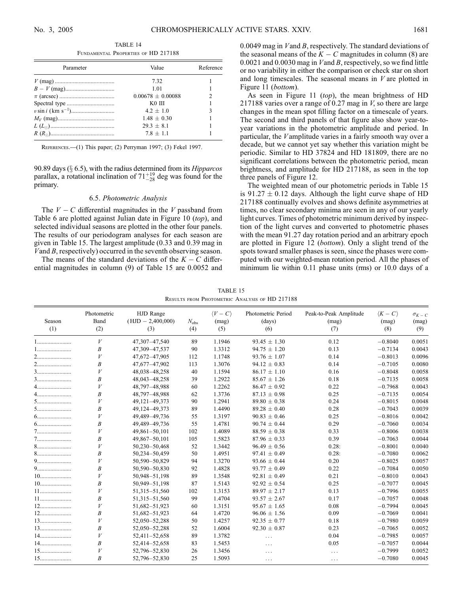TABLE 14 Fundamental Properties of HD 217188

| Parameter | Value               | Reference |  |
|-----------|---------------------|-----------|--|
|           | 732                 |           |  |
|           | 1.01                |           |  |
|           | $0.00678 + 0.00088$ | 2         |  |
|           | $KO$ $III$          |           |  |
|           | $4.2 + 1.0$         | 3         |  |
|           | $1.48 + 0.30$       |           |  |
|           | $29.3 + 8.1$        |           |  |
|           | $7.8 + 1.1$         |           |  |

References.—(1) This paper; (2) Perryman 1997; (3) Fekel 1997.

90.89 days ( $\S$  6.5), with the radius determined from its *Hipparcos* parallax, a rotational inclination of  $71^{+19}_{-28}$  deg was found for the primary.

#### 6.5. Photometric Analysis

The  $V - C$  differential magnitudes in the V passband from Table 6 are plotted against Julian date in Figure 10 (top), and selected individual seasons are plotted in the other four panels. The results of our periodogram analyses for each season are given in Table 15. The largest amplitude (0.33 and 0.39 mag in Vand B, respectively) occurred in the seventh observing season.

The means of the standard deviations of the  $K - C$  differential magnitudes in column (9) of Table 15 are 0.0052 and

0.0049 mag in V and B, respectively. The standard deviations of the seasonal means of the  $K - C$  magnitudes in column (8) are 0.0021 and 0.0030 mag in Vand B, respectively, so we find little or no variability in either the comparison or check star on short and long timescales. The seasonal means in  $V$  are plotted in Figure 11 (bottom).

As seen in Figure 11 (top), the mean brightness of HD 217188 varies over a range of 0.27 mag in  $V$ , so there are large changes in the mean spot filling factor on a timescale of years. The second and third panels of that figure also show year-toyear variations in the photometric amplitude and period. In particular, the Vamplitude varies in a fairly smooth way over a decade, but we cannot yet say whether this variation might be periodic. Similar to HD 37824 and HD 181809, there are no significant correlations between the photometric period, mean brightness, and amplitude for HD 217188, as seen in the top three panels of Figure 12.

The weighted mean of our photometric periods in Table 15 is  $91.27 \pm 0.12$  days. Although the light curve shape of HD 217188 continually evolves and shows definite asymmetries at times, no clear secondary minima are seen in any of our yearly light curves. Times of photometric minimum derived by inspection of the light curves and converted to photometric phases with the mean 91.27 day rotation period and an arbitrary epoch are plotted in Figure 12 (bottom). Only a slight trend of the spots toward smaller phases is seen, since the phases were computed with our weighted-mean rotation period. All the phases of minimum lie within 0.11 phase units (rms) or 10.0 days of a

TABLE 15 Results from Photometric Analysis of HD 217188

| Season | Photometric<br>Band | HJD Range<br>$(HJD - 2,400,000)$ | $N_{\rm obs}$ | $\langle V - C \rangle$<br>(mag) | Photometric Period<br>(days) | Peak-to-Peak Amplitude<br>(mag) | $\langle K-C\rangle$<br>(mag) | $\sigma_{K-C}$<br>(mag) |
|--------|---------------------|----------------------------------|---------------|----------------------------------|------------------------------|---------------------------------|-------------------------------|-------------------------|
| (1)    | (2)                 | (3)                              | (4)           | (5)                              | (6)                          | (7)                             | (8)                           | (9)                     |
| 1      | V                   | 47,307-47,540                    | 89            | 1.1946                           | $93.45 \pm 1.30$             | 0.12                            | $-0.8040$                     | 0.0051                  |
|        | $\boldsymbol{B}$    | 47,309-47,537                    | 90            | 1.3312                           | $94.75 \pm 1.20$             | 0.13                            | $-0.7134$                     | 0.0043                  |
|        | V                   | 47,672-47,905                    | 112           | 1.1748                           | $93.76 \pm 1.07$             | 0.14                            | $-0.8013$                     | 0.0096                  |
|        | B                   | 47,677-47,902                    | 113           | 1.3076                           | $94.12 \pm 0.83$             | 0.14                            | $-0.7105$                     | 0.0080                  |
| $3$    | V                   | 48,038-48,258                    | 40            | 1.1594                           | $86.17 \pm 1.10$             | 0.16                            | $-0.8048$                     | 0.0058                  |
|        | Β                   | 48,043-48,258                    | 39            | 1.2922                           | $85.67 \pm 1.26$             | 0.18                            | $-0.7135$                     | 0.0058                  |
| 4      | V                   | 48,797-48,988                    | 60            | 1.2262                           | $86.47 \pm 0.92$             | 0.22                            | $-0.7968$                     | 0.0043                  |
| 4      | $\boldsymbol{B}$    | 48,797-48,988                    | 62            | 1.3736                           | $87.13 \pm 0.98$             | 0.25                            | $-0.7135$                     | 0.0054                  |
|        | V                   | 49,121-49,373                    | 90            | 1.2941                           | $89.80 \pm 0.38$             | 0.24                            | $-0.8015$                     | 0.0048                  |
|        | B                   | 49,124-49,373                    | 89            | 1.4490                           | $89.28 \pm 0.40$             | 0.28                            | $-0.7043$                     | 0.0039                  |
|        | V                   | 49,489-49,736                    | 55            | 1.3197                           | $90.83 \pm 0.46$             | 0.25                            | $-0.8016$                     | 0.0042                  |
|        | B                   | 49,489-49,736                    | 55            | 1.4781                           | $90.74 \pm 0.44$             | 0.29                            | $-0.7060$                     | 0.0034                  |
|        | V                   | 49,861-50,101                    | 102           | 1.4089                           | $88.59 \pm 0.38$             | 0.33                            | $-0.8006$                     | 0.0038                  |
|        | Β                   | 49,867-50,101                    | 105           | 1.5823                           | $87.96 \pm 0.33$             | 0.39                            | $-0.7063$                     | 0.0044                  |
|        | V                   | 50,230-50,468                    | 52            | 1.3442                           | $96.49 \pm 0.56$             | 0.28:                           | $-0.8001$                     | 0.0040                  |
|        | B                   | 50,234-50,459                    | 50            | 1.4951                           | $97.41 \pm 0.49$             | 0.28:                           | $-0.7080$                     | 0.0062                  |
| 9      | V                   | 50,590-50,829                    | 94            | 1.3270                           | $93.66 \pm 0.44$             | 0.20                            | $-0.8025$                     | 0.0057                  |
| 9      | B                   | 50,590-50,830                    | 92            | 1.4828                           | $93.77 \pm 0.49$             | 0.22                            | $-0.7084$                     | 0.0050                  |
|        | V                   | 50,948-51,198                    | 89            | 1.3548                           | $92.81 \pm 0.49$             | 0.21                            | $-0.8010$                     | 0.0043                  |
|        | B                   | 50,949-51,198                    | 87            | 1.5143                           | $92.92 \pm 0.54$             | 0.25                            | $-0.7077$                     | 0.0045                  |
|        | V                   | 51,315-51,560                    | 102           | 1.3153                           | $89.97 \pm 2.17$             | 0.13                            | $-0.7996$                     | 0.0055                  |
|        | $\boldsymbol{B}$    | 51, 315 - 51, 560                | 99            | 1.4704                           | $93.57 \pm 2.67$             | 0.17                            | $-0.7057$                     | 0.0048                  |
|        | V                   | 51,682-51,923                    | 60            | 1.3151                           | $95.67 \pm 1.65$             | 0.08                            | $-0.7994$                     | 0.0045                  |
|        | $\boldsymbol{B}$    | 51,682-51,923                    | 64            | 1.4720                           | $96.06 \pm 1.56$             | 0.09                            | $-0.7069$                     | 0.0041                  |
|        | V                   | 52,050-52,288                    | 50            | 1.4257                           | $92.35 \pm 0.77$             | 0.18                            | $-0.7980$                     | 0.0059                  |
| $13$   | $\boldsymbol{B}$    | 52,050-52,288                    | 52            | 1.6004                           | $92.30 \pm 0.87$             | 0.23                            | $-0.7065$                     | 0.0052                  |
|        | V                   | 52,411-52,658                    | 89            | 1.3782                           | $\cdots$                     | 0.04                            | $-0.7985$                     | 0.0057                  |
| 14     | $\boldsymbol{B}$    | 52,414-52,658                    | 83            | 1.5453                           | $\cdots$                     | 0.05                            | $-0.7057$                     | 0.0044                  |
|        | V                   | 52,796-52,830                    | 26            | 1.3456                           | $\cdots$                     | $\cdots$                        | $-0.7999$                     | 0.0052                  |
| 15     | B                   | 52,796-52,830                    | 25            | 1.5093                           | $\cdots$                     | .                               | $-0.7080$                     | 0.0045                  |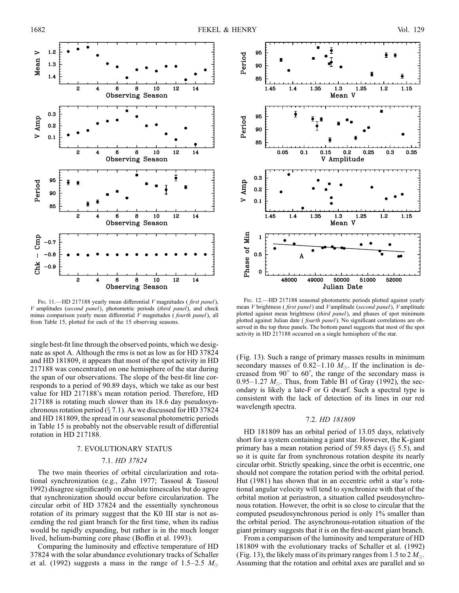

Fig. 11.—HD 217188 yearly mean differential V magnitudes (first panel), V amplitudes (second panel), photometric periods (third panel), and check minus comparison yearly mean differential V magnitudes (fourth panel), all from Table 15, plotted for each of the 15 observing seasons.

single best-fit line through the observed points, which we designate as spot A. Although the rms is not as low as for HD 37824 and HD 181809, it appears that most of the spot activity in HD 217188 was concentrated on one hemisphere of the star during the span of our observations. The slope of the best-fit line corresponds to a period of 90.89 days, which we take as our best value for HD 217188's mean rotation period. Therefore, HD 217188 is rotating much slower than its 18.6 day pseudosynchronous rotation period ( $\S$  7.1). As we discussed for HD 37824 and HD 181809, the spread in our seasonal photometric periods in Table 15 is probably not the observable result of differential rotation in HD 217188.

#### 7. EVOLUTIONARY STATUS

#### 7.1. HD 37824

The two main theories of orbital circularization and rotational synchronization (e.g., Zahn 1977; Tassoul & Tassoul 1992) disagree significantly on absolute timescales but do agree that synchronization should occur before circularization. The circular orbit of HD 37824 and the essentially synchronous rotation of its primary suggest that the K0 III star is not ascending the red giant branch for the first time, when its radius would be rapidly expanding, but rather is in the much longer lived, helium-burning core phase (Boffin et al. 1993).

Comparing the luminosity and effective temperature of HD 37824 with the solar abundance evolutionary tracks of Schaller et al. (1992) suggests a mass in the range of 1.5–2.5  $M_{\odot}$ 



Fig. 12.—HD 217188 seasonal photometric periods plotted against yearly mean V brightness (first panel) and V amplitude (second panel), V amplitude plotted against mean brightness (third panel), and phases of spot minimum plotted against Julian date ( fourth panel). No significant correlations are observed in the top three panels. The bottom panel suggests that most of the spot activity in HD 217188 occurred on a single hemisphere of the star.

(Fig. 13). Such a range of primary masses results in minimum secondary masses of 0.82–1.10  $M_{\odot}$ . If the inclination is decreased from  $90^{\circ}$  to  $60^{\circ}$ , the range of the secondary mass is 0.95–1.27  $M_{\odot}$ . Thus, from Table B1 of Gray (1992), the secondary is likely a late-F or G dwarf. Such a spectral type is consistent with the lack of detection of its lines in our red wavelength spectra.

#### 7.2. HD 181809

HD 181809 has an orbital period of 13.05 days, relatively short for a system containing a giant star. However, the K-giant primary has a mean rotation period of 59.85 days  $(\S 5.5)$ , and so it is quite far from synchronous rotation despite its nearly circular orbit. Strictly speaking, since the orbit is eccentric, one should not compare the rotation period with the orbital period. Hut (1981) has shown that in an eccentric orbit a star's rotational angular velocity will tend to synchronize with that of the orbital motion at periastron, a situation called pseudosynchronous rotation. However, the orbit is so close to circular that the computed pseudosynchronous period is only 1% smaller than the orbital period. The asynchronous-rotation situation of the giant primary suggests that it is on the first-ascent giant branch.

From a comparison of the luminosity and temperature of HD 181809 with the evolutionary tracks of Schaller et al. (1992) (Fig. 13), the likely mass of its primary ranges from 1.5 to  $2 M_{\odot}$ . Assuming that the rotation and orbital axes are parallel and so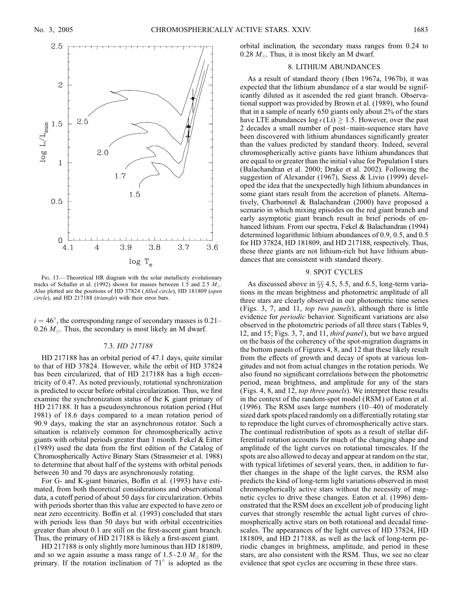

FIG. 13.—Theoretical HR diagram with the solar metallicity evolutionary tracks of Schaller et al. (1992) shown for masses between 1.5 and 2.5  $M_{\odot}$ . Also plotted are the positions of HD 37824 ( filled circle), HD 181809 (open circle), and HD 217188 (triangle) with their error bars.

 $i = 46^{\circ}$ , the corresponding range of secondary masses is 0.21– 0.26  $M_{\odot}$ . Thus, the secondary is most likely an M dwarf.

#### 7.3. HD 217188

HD 217188 has an orbital period of 47.1 days, quite similar to that of HD 37824. However, while the orbit of HD 37824 has been circularized, that of HD 217188 has a high eccentricity of 0.47. As noted previously, rotational synchronization is predicted to occur before orbital circularization. Thus, we first examine the synchronization status of the K giant primary of HD 217188. It has a pseudosynchronous rotation period (Hut 1981) of 18.6 days compared to a mean rotation period of 90.9 days, making the star an asynchronous rotator. Such a situation is relatively common for chromospherically active giants with orbital periods greater than 1 month. Fekel & Eitter (1989) used the data from the first edition of the Catalog of Chromospherically Active Binary Stars (Strassmeier et al. 1988) to determine that about half of the systems with orbital periods between 30 and 70 days are asynchronously rotating.

For G- and K-giant binaries, Boffin et al. (1993) have estimated, from both theoretical considerations and observational data, a cutoff period of about 50 days for circularization. Orbits with periods shorter than this value are expected to have zero or near zero eccentricity. Boffin et al. (1993) concluded that stars with periods less than 50 days but with orbital eccentricities greater than about 0.1 are still on the first-ascent giant branch. Thus, the primary of HD 217188 is likely a first-ascent giant.

HD 217188 is only slightly more luminous than HD 181809, and so we again assume a mass range of  $1.5-2.0$   $M_{\odot}$  for the primary. If the rotation inclination of  $71^\circ$  is adopted as the

orbital inclination, the secondary mass ranges from 0.24 to 0.28  $M_{\odot}$ . Thus, it is most likely an M dwarf.

## 8. LITHIUM ABUNDANCES

As a result of standard theory ( Iben 1967a, 1967b), it was expected that the lithium abundance of a star would be significantly diluted as it ascended the red giant branch. Observational support was provided by Brown et al. (1989), who found that in a sample of nearly 650 giants only about 2% of the stars have LTE abundances  $log \epsilon(Li) \geq 1.5$ . However, over the past 2 decades a small number of post–main-sequence stars have been discovered with lithium abundances significantly greater than the values predicted by standard theory. Indeed, several chromospherically active giants have lithium abundances that are equal to or greater than the initial value for Population I stars (Balachandran et al. 2000; Drake et al. 2002). Following the suggestion of Alexander (1967), Siess & Livio (1999) developed the idea that the unexpectedly high lithium abundances in some giant stars result from the accretion of planets. Alternatively, Charbonnel & Balachandran (2000) have proposed a scenario in which mixing episodes on the red giant branch and early asymptotic giant branch result in brief periods of enhanced lithium. From our spectra, Fekel & Balachandran (1994) determined logarithmic lithium abundances of 0.9, 0.5, and 0.5 for HD 37824, HD 181809, and HD 217188, respectively. Thus, these three giants are not lithium-rich but have lithium abundances that are consistent with standard theory.

#### 9. SPOT CYCLES

As discussed above in  $\S$  4.5, 5.5, and 6.5, long-term variations in the mean brightness and photometric amplitude of all three stars are clearly observed in our photometric time series (Figs. 3, 7, and 11, top two panels), although there is little evidence for *periodic* behavior. Significant variations are also observed in the photometric periods of all three stars (Tables 9, 12, and 15; Figs. 3, 7, and 11, *third panel*), but we have argued on the basis of the coherency of the spot-migration diagrams in the bottom panels of Figures 4, 8, and 12 that these likely result from the effects of growth and decay of spots at various longitudes and not from actual changes in the rotation periods. We also found no significant correlations between the photometric period, mean brightness, and amplitude for any of the stars (Figs. 4, 8, and 12, top three panels). We interpret these results in the context of the random-spot model (RSM ) of Eaton et al. (1996). The RSM uses large numbers (10–40) of moderately sized dark spots placed randomly on a differentially rotating star to reproduce the light curves of chromospherically active stars. The continual redistribution of spots as a result of stellar differential rotation accounts for much of the changing shape and amplitude of the light curves on rotational timescales. If the spots are also allowed to decay and appear at random on the star, with typical lifetimes of several years, then, in addition to further changes in the shape of the light curves, the RSM also predicts the kind of long-term light variations observed in most chromospherically active stars without the necessity of magnetic cycles to drive these changes. Eaton et al. (1996) demonstrated that the RSM does an excellent job of producing light curves that strongly resemble the actual light curves of chromospherically active stars on both rotational and decadal timescales. The appearances of the light curves of HD 37824, HD 181809, and HD 217188, as well as the lack of long-term periodic changes in brightness, amplitude, and period in these stars, are also consistent with the RSM. Thus, we see no clear evidence that spot cycles are occurring in these three stars.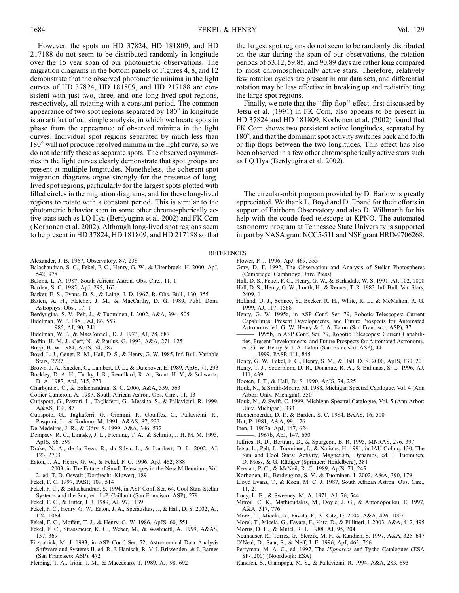However, the spots on HD 37824, HD 181809, and HD 217188 do not seem to be distributed randomly in longitude over the 15 year span of our photometric observations. The migration diagrams in the bottom panels of Figures 4, 8, and 12 demonstrate that the observed photometric minima in the light curves of HD 37824, HD 181809, and HD 217188 are consistent with just two, three, and one long-lived spot regions, respectively, all rotating with a constant period. The common appearance of two spot regions separated by  $180^\circ$  in longitude is an artifact of our simple analysis, in which we locate spots in phase from the appearance of observed minima in the light curves. Individual spot regions separated by much less than  $180^\circ$  will not produce resolved minima in the light curve, so we do not identify these as separate spots. The observed asymmetries in the light curves clearly demonstrate that spot groups are present at multiple longitudes. Nonetheless, the coherent spot migration diagrams argue strongly for the presence of longlived spot regions, particularly for the largest spots plotted with filled circles in the migration diagrams, and for these long-lived regions to rotate with a constant period. This is similar to the photometric behavior seen in some other chromospherically active stars such as LQ Hya (Berdyugina et al. 2002) and FK Com (Korhonen et al. 2002). Although long-lived spot regions seem to be present in HD 37824, HD 181809, and HD 217188 so that

- Alexander, J. B. 1967, Observatory, 87, 238
- Balachandran, S. C., Fekel, F. C., Henry, G. W., & Uitenbroek, H. 2000, ApJ, 542, 978
- Balona, L. A. 1987, South African Astron. Obs. Circ., 11, 1
- Barden, S. C. 1985, ApJ, 295, 162
- Barker, E. S., Evans, D. S., & Laing, J. D. 1967, R. Obs. Bull., 130, 355
- Batten, A. H., Fletcher, J. M., & MacCarthy, D. G. 1989, Publ. Dom. Astrophys. Obs., 17, 1
- Berdyugina, S. V., Pelt, J., & Tuominen, I. 2002, A&A, 394, 505
- Bidelman, W. P. 1981, AJ, 86, 553
- ———. 1985, AJ, 90, 341
- Bidelman, W. P., & MacConnell, D. J. 1973, AJ, 78, 687
- Boffin, H. M. J., Cerf, N., & Paulus, G. 1993, A&A, 271, 125
- Bopp, B. W. 1984, ApJS, 54, 387
- Boyd, L. J., Genet, R. M., Hall, D. S., & Henry, G. W. 1985, Inf. Bull. Variable Stars, 2727, 1
- Brown, J. A., Sneden, C., Lambert, D. L., & Dutchover, E. 1989, ApJS, 71, 293
- Buckley, D. A. H., Tuohy, I. R., Remillard, R. A., Brant, H. V., & Schwartz, D. A. 1987, ApJ, 315, 273
- Charbonnel, C., & Balachandran, S. C. 2000, A&A, 359, 563
- Collier Cameron, A. 1987, South African Astron. Obs. Circ., 11, 13
- Cutispoto, G., Pastori, L., Tagliaferri, G., Messina, S., & Pallavicini, R. 1999,
- A&AS, 138, 87 Cutispoto, G., Tagliaferri, G., Giommi, P., Gouiffes, C., Pallavicini, R.,
- Pasquini, L., & Rodono, M. 1991, A&AS, 87, 233
- De Medeiros, J. R., & Udry, S. 1999, A&A, 346, 532
- Dempsey, R. C., Linnsky, J. L., Fleming, T. A., & Schmitt, J. H. M. M. 1993, ApJS, 86, 599
- Drake, N. A., de la Reza, R., da Silva, L., & Lambert, D. L. 2002, AJ, 123, 2703
- Eaton, J. A., Henry, G. W., & Fekel, F. C. 1996, ApJ, 462, 888
- ———. 2003, in The Future of Small Telescopes in the New Millennium, Vol. 2, ed. T. D. Oswalt (Dordrecht: Kluwer), 189
- Fekel, F. C. 1997, PASP, 109, 514
- Fekel, F. C., & Balachandran, S. 1994, in ASP Conf. Ser. 64, Cool Stars Stellar Systems and the Sun, ed. J.-P. Caillault (San Francisco: ASP), 279
- Fekel, F. C., & Eitter, J. J. 1989, AJ, 97, 1139
- Fekel, F. C., Henry, G. W., Eaton, J. A., Sperauskas, J., & Hall, D. S. 2002, AJ, 124, 1064
- Fekel, F. C., Moffett, T. J., & Henry, G. W. 1986, ApJS, 60, 551
- Fekel, F. C., Strassmeier, K. G., Weber, M., & Washuettl, A. 1999, A&AS, 137, 369
- Fitzpatrick, M. J. 1993, in ASP Conf. Ser. 52, Astronomical Data Analysis Software and Systems II, ed. R. J. Hanisch, R. V. J. Brissenden, & J. Barnes (San Francisco: ASP), 472
- Fleming, T. A., Gioia, I. M., & Maccacaro, T. 1989, AJ, 98, 692

the largest spot regions do not seem to be randomly distributed on the star during the span of our observations, the rotation periods of 53.12, 59.85, and 90.89 days are rather long compared to most chromospherically active stars. Therefore, relatively few rotation cycles are present in our data sets, and differential rotation may be less effective in breaking up and redistributing the large spot regions.

Finally, we note that the "flip-flop" effect, first discussed by Jetsu et al. (1991) in FK Com, also appears to be present in HD 37824 and HD 181809. Korhonen et al. (2002) found that FK Com shows two persistent active longitudes, separated by 180°, and that the dominant spot activity switches back and forth or flip-flops between the two longitudes. This effect has also been observed in a few other chromospherically active stars such as LQ Hya (Berdyugina et al. 2002).

The circular-orbit program provided by D. Barlow is greatly appreciated. We thank L. Boyd and D. Epand for their efforts in support of Fairborn Observatory and also D. Willmarth for his help with the coudé feed telescope at KPNO. The automated astronomy program at Tennessee State University is supported in part by NASA grant NCC5-511 and NSF grant HRD-9706268.

## **REFERENCES**

- Flower, P. J. 1996, ApJ, 469, 355
- Gray, D. F. 1992, The Observation and Analysis of Stellar Photospheres (Cambridge: Cambridge Univ. Press)
- Hall, D. S., Fekel, F. C., Henry, G. W., & Barksdale, W. S. 1991, AJ, 102, 1808 Hall, D. S., Henry, G. W., Louth, H., & Renner, T. R. 1983, Inf. Bull. Var. Stars, 2409, 1
- Helfand, D. J., Schnee, S., Becker, R. H., White, R. L., & McMahon, R. G. 1999, AJ, 117, 1568
- Henry, G. W. 1995a, in ASP Conf. Ser. 79, Robotic Telescopes: Current Capabilities, Present Developments, and Future Prospects for Automated Astronomy, ed. G. W. Henry & J. A. Eaton (San Francisco: ASP), 37
- ———. 1995b, in ASP Conf. Ser. 79, Robotic Telescopes: Current Capabilities, Present Developments, and Future Prospects for Automated Astronomy, ed. G. W. Henry & J. A. Eaton (San Francisco: ASP), 44
- ———. 1999, PASP, 111, 845 Henry, G. W., Fekel, F. C., Henry, S. M., & Hall, D. S. 2000, ApJS, 130, 201
- Henry, T. J., Soderblom, D. R., Donahue, R. A., & Baliunas, S. L. 1996, AJ,
- 111, 439
- Hooten, J. T., & Hall, D. S. 1990, ApJS, 74, 225
- Houk, N., & Smith-Moore, M. 1988, Michigan Spectral Catalogue, Vol. 4 (Ann Arbor: Univ. Michigan), 350
- Houk, N., & Swift, C. 1999, Michigan Spectral Catalogue, Vol. 5 (Ann Arbor: Univ. Michigan), 333
- Huenemoerder, D. P., & Barden, S. C. 1984, BAAS, 16, 510
- Hut, P. 1981, A&A, 99, 126
- Iben, I. 1967a, ApJ, 147, 624
- ———. 1967b, ApJ, 147, 650
- Jeffries, R. D., Bertram, D., & Spurgeon, B. R. 1995, MNRAS, 276, 397
- Jetsu, L., Pelt, J., Tuominen, I., & Nations, H. 1991, in IAU Colloq. 130, The Sun and Cool Stars: Activity, Magnetism, Dynamos, ed. I. Tuominen, D. Moss, & G. Rüdiger (Springer: Heidelberg), 381
- Keenan, P. C., & McNeil, R. C. 1989, ApJS, 71, 245
- Korhonen, H., Berdyugina, S. V., & Tuominen, I. 2002, A&A, 390, 179
- Lloyd Evans, T., & Koen, M. C. J. 1987, South African Astron. Obs. Circ., 11, 21
- Lucy, L. B., & Sweeney, M. A. 1971, AJ, 76, 544
- Mitrou, C. K., Mathioudakis, M., Doyle, J. G., & Antonopoulou, E. 1997, A&A, 317, 776
- Morel, T., Micela, G., Favata, F., & Katz, D. 2004, A&A, 426, 1007
- Morel, T., Micela, G., Favata, F., Katz, D., & Pillitteri, I. 2003, A&A, 412, 495 Morris, D. H., & Mutel, R. L. 1988, AJ, 95, 204
- Neuhaüser, R., Torres, G., Sterzik, M. F., & Randich, S. 1997, A&A, 325, 647
- O'Neal, D., Saar, S., & Neff, J. E. 1996, ApJ, 463, 766
- Perryman, M. A. C., ed. 1997, The Hipparcos and Tycho Catalogues (ESA SP-1200) (Noordwijk: ESA)
- Randich, S., Giampapa, M. S., & Pallavicini, R. 1994, A&A, 283, 893